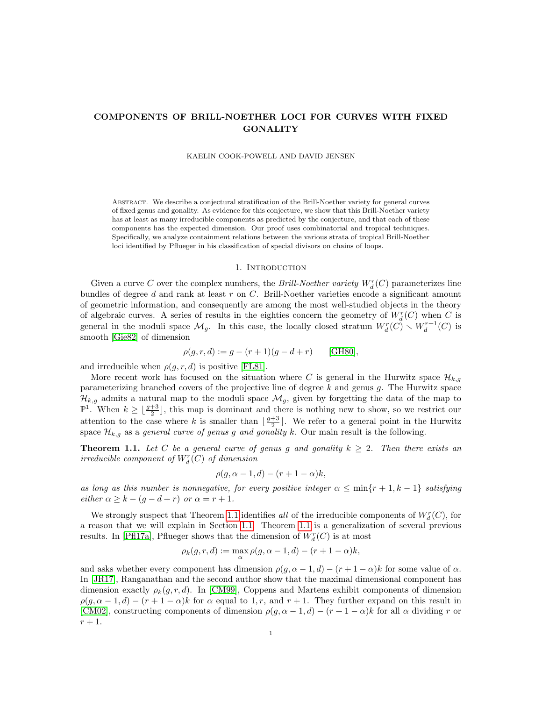# COMPONENTS OF BRILL-NOETHER LOCI FOR CURVES WITH FIXED **GONALITY**

### KAELIN COOK-POWELL AND DAVID JENSEN

Abstract. We describe a conjectural stratification of the Brill-Noether variety for general curves of fixed genus and gonality. As evidence for this conjecture, we show that this Brill-Noether variety has at least as many irreducible components as predicted by the conjecture, and that each of these components has the expected dimension. Our proof uses combinatorial and tropical techniques. Specifically, we analyze containment relations between the various strata of tropical Brill-Noether loci identified by Pflueger in his classification of special divisors on chains of loops.

#### 1. Introduction

Given a curve C over the complex numbers, the Brill-Noether variety  $W_d^r(C)$  parameterizes line bundles of degree d and rank at least  $r$  on  $C$ . Brill-Noether varieties encode a significant amount of geometric information, and consequently are among the most well-studied objects in the theory of algebraic curves. A series of results in the eighties concern the geometry of  $W_d^r(C)$  when C is general in the moduli space  $\mathcal{M}_g$ . In this case, the locally closed stratum  $W_d^r(C) \setminus W_d^{r+1}(C)$  is smooth [\[Gie82\]](#page-20-0) of dimension

$$
\rho(g, r, d) := g - (r + 1)(g - d + r) \quad \text{[GH80]},
$$

and irreducible when  $\rho(g, r, d)$  is positive [\[FL81\]](#page-20-2).

More recent work has focused on the situation where C is general in the Hurwitz space  $\mathcal{H}_{k,q}$ parameterizing branched covers of the projective line of degree  $k$  and genus  $g$ . The Hurwitz space  $\mathcal{H}_{k,g}$  admits a natural map to the moduli space  $\mathcal{M}_g$ , given by forgetting the data of the map to  $\mathbb{P}^1$ . When  $k \geq \lfloor \frac{g+3}{2} \rfloor$ , this map is dominant and there is nothing new to show, so we restrict our attention to the case where k is smaller than  $\lfloor \frac{g+3}{2} \rfloor$ . We refer to a general point in the Hurwitz space  $\mathcal{H}_{k,g}$  as a *general curve of genus g and gonality* k. Our main result is the following.

<span id="page-0-0"></span>**Theorem 1.1.** Let C be a general curve of genus g and gonality  $k \geq 2$ . Then there exists an irreducible component of  $W_d^r(C)$  of dimension

$$
\rho(g, \alpha - 1, d) - (r + 1 - \alpha)k,
$$

as long as this number is nonnegative, for every positive integer  $\alpha \leq \min\{r+1, k-1\}$  satisfying  $either \alpha \geq k - (g - d + r) \text{ or } \alpha = r + 1.$ 

We strongly suspect that Theorem [1.1](#page-0-0) identifies all of the irreducible components of  $W_d^r(C)$ , for a reason that we will explain in Section [1.1.](#page-1-0) Theorem [1.1](#page-0-0) is a generalization of several previous results. In [\[Pfl17a\]](#page-20-3), Pflueger shows that the dimension of  $W^r_d(C)$  is at most

$$
\rho_k(g,r,d) := \max_{\alpha} \rho(g, \alpha - 1, d) - (r + 1 - \alpha)k,
$$

and asks whether every component has dimension  $\rho(g, \alpha - 1, d) - (r + 1 - \alpha)k$  for some value of  $\alpha$ . In [\[JR17\]](#page-20-4), Ranganathan and the second author show that the maximal dimensional component has dimension exactly  $\rho_k(g, r, d)$ . In [\[CM99\]](#page-20-5), Coppens and Martens exhibit components of dimension  $\rho(g, \alpha - 1, d) - (r + 1 - \alpha)k$  for  $\alpha$  equal to 1, r, and  $r + 1$ . They further expand on this result in [\[CM02\]](#page-20-6), constructing components of dimension  $\rho(g, \alpha - 1, d) - (r + 1 - \alpha)k$  for all  $\alpha$  dividing r or  $r+1$ .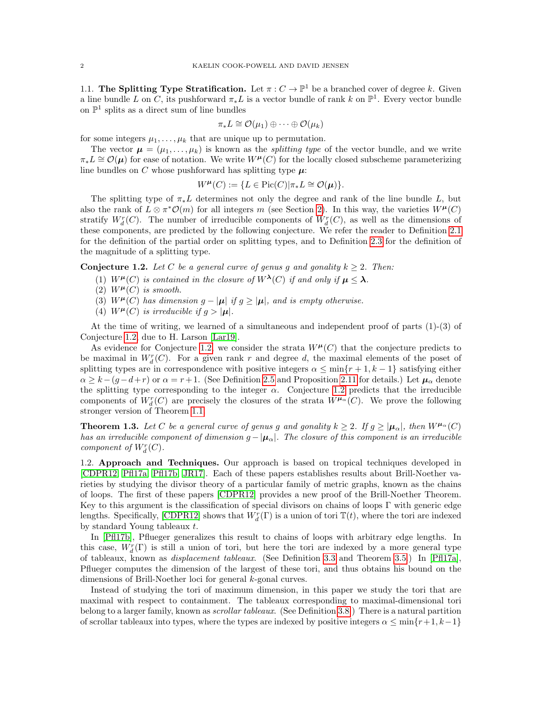<span id="page-1-0"></span>1.1. The Splitting Type Stratification. Let  $\pi: C \to \mathbb{P}^1$  be a branched cover of degree k. Given a line bundle L on C, its pushforward  $\pi_* L$  is a vector bundle of rank k on  $\mathbb{P}^1$ . Every vector bundle on  $\mathbb{P}^1$  splits as a direct sum of line bundles

$$
\pi_*L \cong \mathcal{O}(\mu_1) \oplus \cdots \oplus \mathcal{O}(\mu_k)
$$

for some integers  $\mu_1, \ldots, \mu_k$  that are unique up to permutation.

The vector  $\mu = (\mu_1, \dots, \mu_k)$  is known as the *splitting type* of the vector bundle, and we write  $\pi_*L \cong \mathcal{O}(\mu)$  for ease of notation. We write  $W^{\mu}(C)$  for the locally closed subscheme parameterizing line bundles on C whose pushforward has splitting type  $\mu$ :

$$
W^{\mu}(C) := \{ L \in Pic(C) | \pi_* L \cong \mathcal{O}(\mu) \}.
$$

The splitting type of  $\pi_* L$  determines not only the degree and rank of the line bundle L, but also the rank of  $L \otimes \pi^* \mathcal{O}(m)$  for all integers m (see Section [2\)](#page-2-0). In this way, the varieties  $W^{\mu}(C)$ stratify  $W_d^r(C)$ . The number of irreducible components of  $W_d^r(C)$ , as well as the dimensions of these components, are predicted by the following conjecture. We refer the reader to Definition [2.1](#page-2-1) for the definition of the partial order on splitting types, and to Definition [2.3](#page-3-0) for the definition of the magnitude of a splitting type.

<span id="page-1-1"></span>**Conjecture 1.2.** Let C be a general curve of genus g and gonality  $k \geq 2$ . Then:

- (1)  $W^{\mu}(C)$  is contained in the closure of  $W^{\lambda}(C)$  if and only if  $\mu < \lambda$ .
- (2)  $W^{\mu}(C)$  is smooth.
- (3)  $W^{\mu}(C)$  has dimension  $g |\mu|$  if  $g \geq |\mu|$ , and is empty otherwise.
- (4)  $W^{\mu}(C)$  is irreducible if  $g > |\mu|$ .

At the time of writing, we learned of a simultaneous and independent proof of parts (1)-(3) of Conjecture [1.2,](#page-1-1) due to H. Larson [\[Lar19\]](#page-20-7).

As evidence for Conjecture [1.2,](#page-1-1) we consider the strata  $W^{\mu}(C)$  that the conjecture predicts to be maximal in  $W_d^r(C)$ . For a given rank r and degree d, the maximal elements of the poset of splitting types are in correspondence with positive integers  $\alpha \leq \min\{r+1, k-1\}$  satisfying either  $\alpha \geq k - (g - d + r)$  or  $\alpha = r + 1$ . (See Definition [2.5](#page-4-0) and Proposition [2.11](#page-6-0) for details.) Let  $\mu_{\alpha}$  denote the splitting type corresponding to the integer  $\alpha$ . Conjecture [1.2](#page-1-1) predicts that the irreducible components of  $W_d^r(C)$  are precisely the closures of the strata  $W^{\mu_\alpha}(C)$ . We prove the following stronger version of Theorem [1.1.](#page-0-0)

<span id="page-1-2"></span>**Theorem 1.3.** Let C be a general curve of genus g and gonality  $k \geq 2$ . If  $g \geq |\mu_{\alpha}|$ , then  $W^{\mu_{\alpha}}(C)$ has an irreducible component of dimension  $g - |\mu_{\alpha}|$ . The closure of this component is an irreducible component of  $W_d^r(C)$ .

1.2. Approach and Techniques. Our approach is based on tropical techniques developed in [\[CDPR12,](#page-20-8) [Pfl17a,](#page-20-3) [Pfl17b,](#page-20-9) [JR17\]](#page-20-4). Each of these papers establishes results about Brill-Noether varieties by studying the divisor theory of a particular family of metric graphs, known as the chains of loops. The first of these papers [\[CDPR12\]](#page-20-8) provides a new proof of the Brill-Noether Theorem. Key to this argument is the classification of special divisors on chains of loops Γ with generic edge lengths. Specifically, [\[CDPR12\]](#page-20-8) shows that  $W_d^r(\Gamma)$  is a union of tori  $\mathbb{T}(t)$ , where the tori are indexed by standard Young tableaux  $t$ .

In [\[Pfl17b\]](#page-20-9), Pflueger generalizes this result to chains of loops with arbitrary edge lengths. In this case,  $W_d^r(\Gamma)$  is still a union of tori, but here the tori are indexed by a more general type of tableaux, known as displacement tableaux. (See Definition [3.3](#page-7-0) and Theorem [3.5.](#page-8-0)) In [\[Pfl17a\]](#page-20-3), Pflueger computes the dimension of the largest of these tori, and thus obtains his bound on the dimensions of Brill-Noether loci for general k-gonal curves.

Instead of studying the tori of maximum dimension, in this paper we study the tori that are maximal with respect to containment. The tableaux corresponding to maximal-dimensional tori belong to a larger family, known as scrollar tableaux. (See Definition [3.8.](#page-9-0)) There is a natural partition of scrollar tableaux into types, where the types are indexed by positive integers  $\alpha \leq \min\{r+1, k-1\}$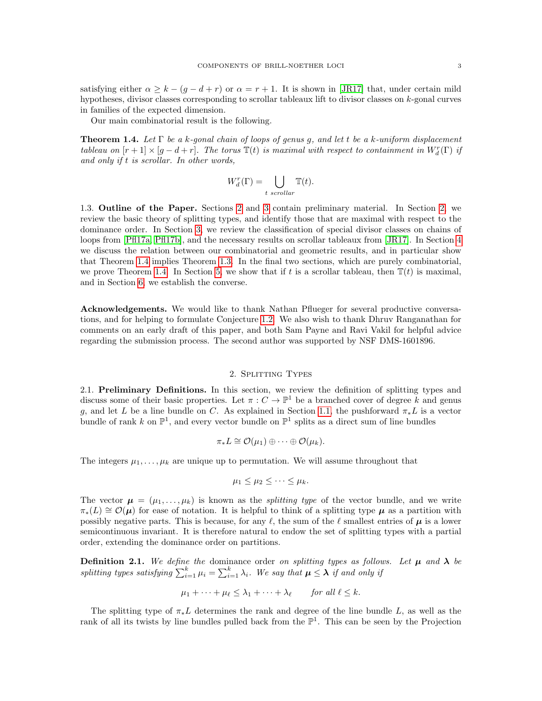satisfying either  $\alpha \geq k - (g - d + r)$  or  $\alpha = r + 1$ . It is shown in [\[JR17\]](#page-20-4) that, under certain mild hypotheses, divisor classes corresponding to scrollar tableaux lift to divisor classes on k-gonal curves in families of the expected dimension.

Our main combinatorial result is the following.

<span id="page-2-2"></span>**Theorem 1.4.** Let  $\Gamma$  be a k-gonal chain of loops of genus g, and let t be a k-uniform displacement tableau on  $[r+1] \times [g-d+r]$ . The torus  $\mathbb{T}(t)$  is maximal with respect to containment in  $W_d^r(\Gamma)$  if and only if t is scrollar. In other words,

$$
W_d^r(\Gamma) = \bigcup_{t \text{ scrollar}} \mathbb{T}(t).
$$

1.3. Outline of the Paper. Sections [2](#page-2-0) and [3](#page-7-1) contain preliminary material. In Section [2,](#page-2-0) we review the basic theory of splitting types, and identify those that are maximal with respect to the dominance order. In Section [3,](#page-7-1) we review the classification of special divisor classes on chains of loops from [\[Pfl17a,](#page-20-3) [Pfl17b\]](#page-20-9), and the necessary results on scrollar tableaux from [\[JR17\]](#page-20-4). In Section [4](#page-11-0) we discuss the relation between our combinatorial and geometric results, and in particular show that Theorem [1.4](#page-2-2) implies Theorem [1.3.](#page-1-2) In the final two sections, which are purely combinatorial, we prove Theorem [1.4.](#page-2-2) In Section [5,](#page-12-0) we show that if t is a scrollar tableau, then  $\mathbb{T}(t)$  is maximal, and in Section [6,](#page-16-0) we establish the converse.

Acknowledgements. We would like to thank Nathan Pflueger for several productive conversations, and for helping to formulate Conjecture [1.2.](#page-1-1) We also wish to thank Dhruv Ranganathan for comments on an early draft of this paper, and both Sam Payne and Ravi Vakil for helpful advice regarding the submission process. The second author was supported by NSF DMS-1601896.

# 2. Splitting Types

<span id="page-2-0"></span>2.1. Preliminary Definitions. In this section, we review the definition of splitting types and discuss some of their basic properties. Let  $\pi: C \to \mathbb{P}^1$  be a branched cover of degree k and genus g, and let L be a line bundle on C. As explained in Section [1.1,](#page-1-0) the pushforward  $\pi_* L$  is a vector bundle of rank k on  $\mathbb{P}^1$ , and every vector bundle on  $\mathbb{P}^1$  splits as a direct sum of line bundles

$$
\pi_*L \cong \mathcal{O}(\mu_1) \oplus \cdots \oplus \mathcal{O}(\mu_k).
$$

The integers  $\mu_1, \ldots, \mu_k$  are unique up to permutation. We will assume throughout that

$$
\mu_1 \leq \mu_2 \leq \cdots \leq \mu_k.
$$

The vector  $\mu = (\mu_1, \ldots, \mu_k)$  is known as the *splitting type* of the vector bundle, and we write  $\pi_*(L) \cong \mathcal{O}(\mu)$  for ease of notation. It is helpful to think of a splitting type  $\mu$  as a partition with possibly negative parts. This is because, for any  $\ell$ , the sum of the  $\ell$  smallest entries of  $\mu$  is a lower semicontinuous invariant. It is therefore natural to endow the set of splitting types with a partial order, extending the dominance order on partitions.

<span id="page-2-1"></span>**Definition 2.1.** We define the dominance order on splitting types as follows. Let  $\mu$  and  $\lambda$  be splitting types satisfying  $\sum_{i=1}^{k} \mu_i = \sum_{i=1}^{k} \lambda_i$ . We say that  $\mu \leq \lambda$  if and only if

$$
\mu_1 + \dots + \mu_\ell \leq \lambda_1 + \dots + \lambda_\ell \qquad \text{for all } \ell \leq k.
$$

The splitting type of  $\pi_* L$  determines the rank and degree of the line bundle L, as well as the rank of all its twists by line bundles pulled back from the  $\mathbb{P}^1$ . This can be seen by the Projection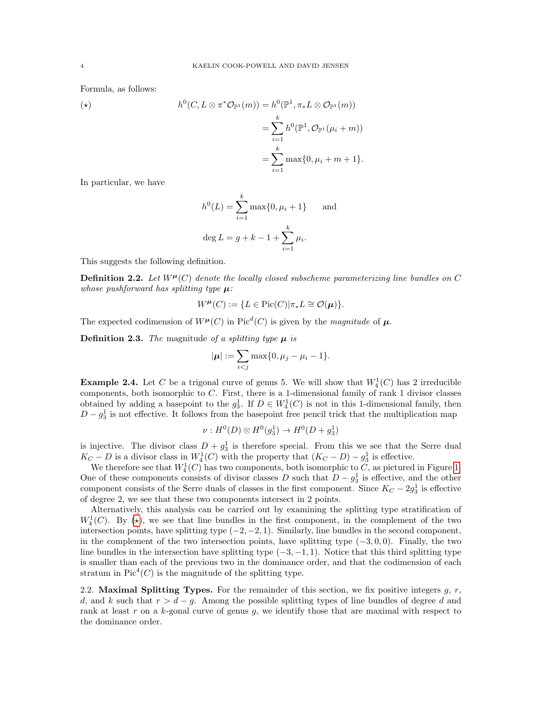Formula, as follows:

<span id="page-3-1"></span>
$$
(*)\qquad h^0(C, L \otimes \pi^* \mathcal{O}_{\mathbb{P}^1}(m)) = h^0(\mathbb{P}^1, \pi_* L \otimes \mathcal{O}_{\mathbb{P}^1}(m))
$$

$$
= \sum_{i=1}^k h^0(\mathbb{P}^1, \mathcal{O}_{\mathbb{P}^1}(\mu_i + m))
$$

$$
= \sum_{i=1}^k \max\{0, \mu_i + m + 1\}.
$$

In particular, we have

$$
h^{0}(L) = \sum_{i=1}^{k} \max\{0, \mu_{i} + 1\} \quad \text{and}
$$
  

$$
\deg L = g + k - 1 + \sum_{i=1}^{k} \mu_{i}.
$$

This suggests the following definition.

**Definition 2.2.** Let  $W^{\mu}(C)$  denote the locally closed subscheme parameterizing line bundles on C whose pushforward has splitting type  $\mu$ :

$$
W^{\mu}(C) := \{ L \in \text{Pic}(C) | \pi_* L \cong \mathcal{O}(\mu) \}.
$$

The expected codimension of  $W^{\mu}(C)$  in Pic<sup>d</sup>(C) is given by the magnitude of  $\mu$ .

<span id="page-3-0"></span>**Definition 2.3.** The magnitude of a splitting type  $\mu$  is

$$
|\boldsymbol{\mu}| := \sum_{i < j} \max\{0, \mu_j - \mu_i - 1\}.
$$

**Example 2.4.** Let C be a trigonal curve of genus 5. We will show that  $W_4^1(C)$  has 2 irreducible components, both isomorphic to C. First, there is a 1-dimensional family of rank 1 divisor classes obtained by adding a basepoint to the  $g_3^1$ . If  $D \in W_4^1(C)$  is not in this 1-dimensional family, then  $D - g_3^1$  is not effective. It follows from the basepoint free pencil trick that the multiplication map

$$
\nu: H^0(D) \otimes H^0(g_3^1) \to H^0(D + g_3^1)
$$

is injective. The divisor class  $D + g_3^1$  is therefore special. From this we see that the Serre dual  $K_C - D$  is a divisor class in  $W_4^1(C)$  with the property that  $(K_C - D) - g_3^1$  is effective.

We therefore see that  $W_4^1(C)$  has two components, both isomorphic to C, as pictured in Figure [1.](#page-4-1) One of these components consists of divisor classes D such that  $D - g_3^1$  is effective, and the other component consists of the Serre duals of classes in the first component. Since  $K_C - 2g_3^1$  is effective of degree 2, we see that these two components intersect in 2 points.

Alternatively, this analysis can be carried out by examining the splitting type stratification of  $W_4^1(C)$ . By ( $\star$ ), we see that line bundles in the first component, in the complement of the two intersection points, have splitting type  $(-2, -2, 1)$ . Similarly, line bundles in the second component, in the complement of the two intersection points, have splitting type  $(-3, 0, 0)$ . Finally, the two line bundles in the intersection have splitting type  $(-3, -1, 1)$ . Notice that this third splitting type is smaller than each of the previous two in the dominance order, and that the codimension of each stratum in  $Pic<sup>4</sup>(C)$  is the magnitude of the splitting type.

2.2. Maximal Splitting Types. For the remainder of this section, we fix positive integers  $q, r$ , d, and k such that  $r > d - q$ . Among the possible splitting types of line bundles of degree d and rank at least r on a  $k$ -gonal curve of genus  $g$ , we identify those that are maximal with respect to the dominance order.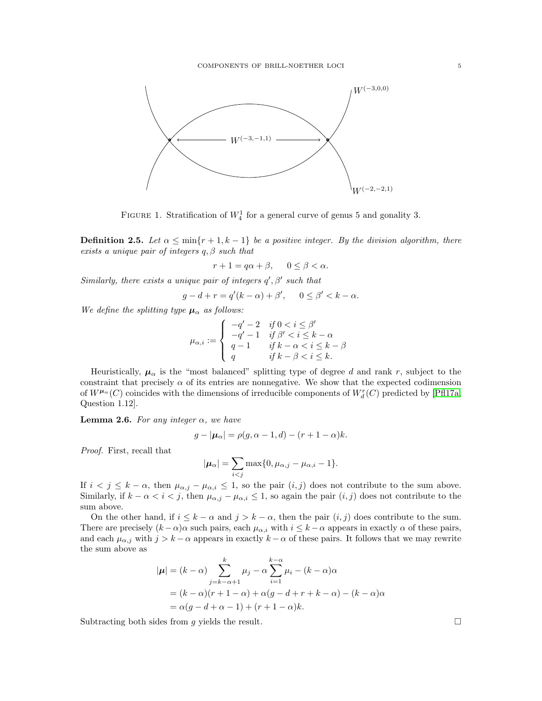

<span id="page-4-1"></span>FIGURE 1. Stratification of  $W_4^1$  for a general curve of genus 5 and gonality 3.

<span id="page-4-0"></span>**Definition 2.5.** Let  $\alpha \leq \min\{r+1, k-1\}$  be a positive integer. By the division algorithm, there exists a unique pair of integers  $q, \beta$  such that

 $r + 1 = q\alpha + \beta$ ,  $0 \leq \beta < \alpha$ .

Similarly, there exists a unique pair of integers  $q', \beta'$  such that

$$
g - d + r = q'(k - \alpha) + \beta', \quad 0 \le \beta' < k - \alpha.
$$

We define the splitting type  $\mu_{\alpha}$  as follows:

$$
\mu_{\alpha,i}:=\left\{\begin{array}{ll}-q'-2&if\ 0
$$

Heuristically,  $\mu_{\alpha}$  is the "most balanced" splitting type of degree d and rank r, subject to the constraint that precisely  $\alpha$  of its entries are nonnegative. We show that the expected codimension of  $W^{\mu_{\alpha}}(C)$  coincides with the dimensions of irreducible components of  $W^r_d(C)$  predicted by [\[Pfl17a,](#page-20-3) Question 1.12].

<span id="page-4-2"></span>**Lemma 2.6.** For any integer  $\alpha$ , we have

$$
g - |\mu_{\alpha}| = \rho(g, \alpha - 1, d) - (r + 1 - \alpha)k.
$$

Proof. First, recall that

$$
|\boldsymbol{\mu}_{\alpha}| = \sum_{i < j} \max\{0, \mu_{\alpha,j} - \mu_{\alpha,i} - 1\}.
$$

If  $i < j \leq k - \alpha$ , then  $\mu_{\alpha,j} - \mu_{\alpha,i} \leq 1$ , so the pair  $(i, j)$  does not contribute to the sum above. Similarly, if  $k - \alpha < i < j$ , then  $\mu_{\alpha,i} - \mu_{\alpha,i} \leq 1$ , so again the pair  $(i, j)$  does not contribute to the sum above.

On the other hand, if  $i \leq k - \alpha$  and  $j > k - \alpha$ , then the pair  $(i, j)$  does contribute to the sum. There are precisely  $(k - \alpha)\alpha$  such pairs, each  $\mu_{\alpha,i}$  with  $i \leq k - \alpha$  appears in exactly  $\alpha$  of these pairs, and each  $\mu_{\alpha,j}$  with  $j > k - \alpha$  appears in exactly  $k - \alpha$  of these pairs. It follows that we may rewrite the sum above as

$$
|\boldsymbol{\mu}| = (k - \alpha) \sum_{j=k-\alpha+1}^{k} \mu_j - \alpha \sum_{i=1}^{k-\alpha} \mu_i - (k - \alpha)\alpha
$$
  
=  $(k - \alpha)(r + 1 - \alpha) + \alpha(g - d + r + k - \alpha) - (k - \alpha)\alpha$   
=  $\alpha(g - d + \alpha - 1) + (r + 1 - \alpha)k$ .

Subtracting both sides from g yields the result.  $\square$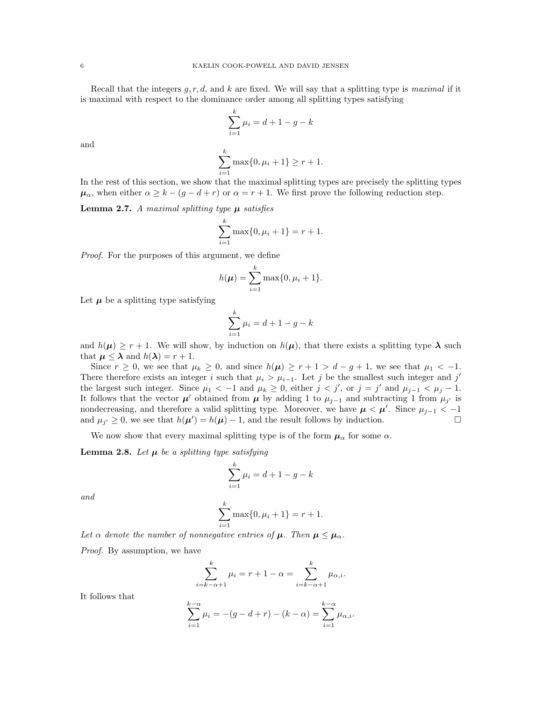Recall that the integers  $q, r, d$ , and k are fixed. We will say that a splitting type is maximal if it is maximal with respect to the dominance order among all splitting types satisfying

$$
\sum_{i=1}^{k} \mu_i = d + 1 - g - k
$$

and

$$
\sum_{i=1}^{k} \max\{0, \mu_i + 1\} \ge r + 1.
$$

In the rest of this section, we show that the maximal splitting types are precisely the splitting types  $\mu_{\alpha}$ , when either  $\alpha \geq k - (g - d + r)$  or  $\alpha = r + 1$ . We first prove the following reduction step.

<span id="page-5-0"></span>**Lemma 2.7.** A maximal splitting type  $\mu$  satisfies

$$
\sum_{i=1}^{k} \max\{0, \mu_i + 1\} = r + 1.
$$

Proof. For the purposes of this argument, we define

$$
h(\mu) = \sum_{i=1}^{k} \max\{0, \mu_i + 1\}.
$$

Let  $\mu$  be a splitting type satisfying

$$
\sum_{i=1}^{k} \mu_i = d + 1 - g - k
$$

and  $h(\mu) \geq r + 1$ . We will show, by induction on  $h(\mu)$ , that there exists a splitting type  $\lambda$  such that  $\mu \leq \lambda$  and  $h(\lambda) = r + 1$ .

Since  $r \ge 0$ , we see that  $\mu_k \ge 0$ , and since  $h(\mu) \ge r+1 > d-g+1$ , we see that  $\mu_1 < -1$ . There therefore exists an integer i such that  $\mu_i > \mu_{i-1}$ . Let j be the smallest such integer and j' the largest such integer. Since  $\mu_1 < -1$  and  $\mu_k \geq 0$ , either  $j < j'$ , or  $j = j'$  and  $\mu_{j-1} < \mu_j - 1$ . It follows that the vector  $\mu'$  obtained from  $\mu$  by adding 1 to  $\mu_{j-1}$  and subtracting 1 from  $\mu_{j'}$  is nondecreasing, and therefore a valid splitting type. Moreover, we have  $\mu < \mu'$ . Since  $\mu_{j-1} < -1$ and  $\mu_{j'} \ge 0$ , we see that  $h(\mu') = h(\mu) - 1$ , and the result follows by induction.

We now show that every maximal splitting type is of the form  $\mu_{\alpha}$  for some  $\alpha$ .

<span id="page-5-1"></span>**Lemma 2.8.** Let  $\mu$  be a splitting type satisfying

$$
\sum_{i=1}^{k} \mu_i = d + 1 - g - k
$$

and

$$
\sum_{i=1}^{k} \max\{0, \mu_i + 1\} = r + 1.
$$

Let  $\alpha$  denote the number of nonnegative entries of  $\mu$ . Then  $\mu \leq \mu_{\alpha}$ .

Proof. By assumption, we have

$$
\sum_{i=k-\alpha+1}^{k} \mu_i = r+1-\alpha = \sum_{i=k-\alpha+1}^{k} \mu_{\alpha,i}.
$$

It follows that

$$
\sum_{i=1}^{k-\alpha} \mu_i = -(g - d + r) - (k - \alpha) = \sum_{i=1}^{k-\alpha} \mu_{\alpha,i}.
$$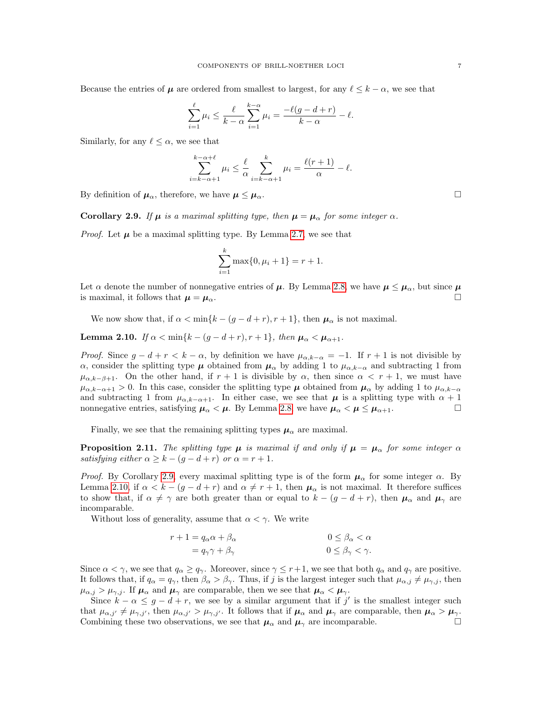Because the entries of  $\mu$  are ordered from smallest to largest, for any  $\ell \leq k - \alpha$ , we see that

$$
\sum_{i=1}^{\ell} \mu_i \leq \frac{\ell}{k-\alpha} \sum_{i=1}^{k-\alpha} \mu_i = \frac{-\ell(g-d+r)}{k-\alpha} - \ell.
$$

Similarly, for any  $\ell \leq \alpha$ , we see that

$$
\sum_{i=k-\alpha+1}^{k-\alpha+\ell} \mu_i \leq \frac{\ell}{\alpha} \sum_{i=k-\alpha+1}^k \mu_i = \frac{\ell(r+1)}{\alpha} - \ell.
$$

By definition of  $\mu_{\alpha}$ , therefore, we have  $\mu \leq \mu_{\alpha}$ .

<span id="page-6-1"></span>**Corollary 2.9.** If  $\mu$  is a maximal splitting type, then  $\mu = \mu_{\alpha}$  for some integer  $\alpha$ .

*Proof.* Let  $\mu$  be a maximal splitting type. By Lemma [2.7,](#page-5-0) we see that

$$
\sum_{i=1}^{k} \max\{0, \mu_i + 1\} = r + 1.
$$

Let  $\alpha$  denote the number of nonnegative entries of  $\mu$ . By Lemma [2.8,](#page-5-1) we have  $\mu \leq \mu_{\alpha}$ , but since  $\mu$ is maximal, it follows that  $\mu = \mu_{\alpha}$ .

We now show that, if  $\alpha < \min\{k - (g - d + r), r + 1\}$ , then  $\mu_{\alpha}$  is not maximal.

<span id="page-6-2"></span>**Lemma 2.10.** If  $\alpha < \min\{k - (q - d + r), r + 1\}$ , then  $\mu_{\alpha} < \mu_{\alpha+1}$ .

*Proof.* Since  $g - d + r < k - \alpha$ , by definition we have  $\mu_{\alpha,k-\alpha} = -1$ . If  $r+1$  is not divisible by α, consider the splitting type  $\mu$  obtained from  $\mu_\alpha$  by adding 1 to  $\mu_{\alpha,k-\alpha}$  and subtracting 1 from  $\mu_{\alpha,k-\beta+1}$ . On the other hand, if  $r+1$  is divisible by  $\alpha$ , then since  $\alpha < r+1$ , we must have  $\mu_{\alpha,k-\alpha+1} > 0$ . In this case, consider the splitting type  $\mu$  obtained from  $\mu_{\alpha}$  by adding 1 to  $\mu_{\alpha,k-\alpha}$ and subtracting 1 from  $\mu_{\alpha,k-\alpha+1}$ . In either case, we see that  $\mu$  is a splitting type with  $\alpha+1$ nonnegative entries, satisfying  $\mu_{\alpha} < \mu$ . By Lemma [2.8,](#page-5-1) we have  $\mu_{\alpha} < \mu \leq \mu_{\alpha+1}$ .

Finally, we see that the remaining splitting types  $\mu_{\alpha}$  are maximal.

<span id="page-6-0"></span>**Proposition 2.11.** The splitting type  $\mu$  is maximal if and only if  $\mu = \mu_{\alpha}$  for some integer  $\alpha$ satisfying either  $\alpha \geq k - (g - d + r)$  or  $\alpha = r + 1$ .

*Proof.* By Corollary [2.9,](#page-6-1) every maximal splitting type is of the form  $\mu_{\alpha}$  for some integer  $\alpha$ . By Lemma [2.10,](#page-6-2) if  $\alpha < k - (g - d + r)$  and  $\alpha \neq r + 1$ , then  $\mu_{\alpha}$  is not maximal. It therefore suffices to show that, if  $\alpha \neq \gamma$  are both greater than or equal to  $k - (g - d + r)$ , then  $\mu_{\alpha}$  and  $\mu_{\gamma}$  are incomparable.

Without loss of generality, assume that  $\alpha < \gamma$ . We write

$$
r + 1 = q_{\alpha}\alpha + \beta_{\alpha} \qquad \qquad 0 \le \beta_{\alpha} < \alpha
$$

$$
= q_{\gamma}\gamma + \beta_{\gamma} \qquad \qquad 0 \le \beta_{\gamma} < \gamma.
$$

Since  $\alpha < \gamma$ , we see that  $q_{\alpha} \geq q_{\gamma}$ . Moreover, since  $\gamma \leq r+1$ , we see that both  $q_{\alpha}$  and  $q_{\gamma}$  are positive. It follows that, if  $q_{\alpha} = q_{\gamma}$ , then  $\beta_{\alpha} > \beta_{\gamma}$ . Thus, if j is the largest integer such that  $\mu_{\alpha,j} \neq \mu_{\gamma,j}$ , then  $\mu_{\alpha,j} > \mu_{\gamma,i}$ . If  $\mu_{\alpha}$  and  $\mu_{\gamma}$  are comparable, then we see that  $\mu_{\alpha} < \mu_{\gamma}$ .

Since  $k - \alpha \leq g - d + r$ , we see by a similar argument that if j' is the smallest integer such that  $\mu_{\alpha,j'} \neq \mu_{\gamma,j'}$ , then  $\mu_{\alpha,j'} > \mu_{\gamma,j'}$ . It follows that if  $\mu_{\alpha}$  and  $\mu_{\gamma}$  are comparable, then  $\mu_{\alpha} > \mu_{\gamma}$ . Combining these two observations, we see that  $\mu_{\alpha}$  and  $\mu_{\gamma}$  are incomparable.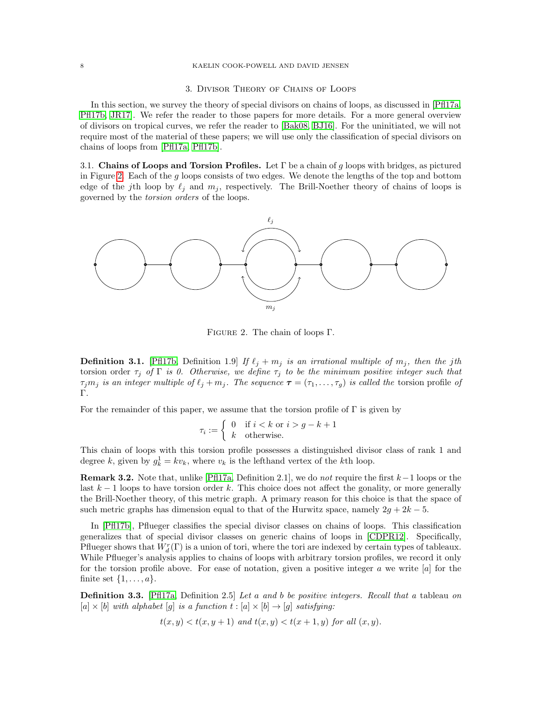## 8 KAELIN COOK-POWELL AND DAVID JENSEN

# 3. Divisor Theory of Chains of Loops

<span id="page-7-1"></span>In this section, we survey the theory of special divisors on chains of loops, as discussed in [\[Pfl17a,](#page-20-3) [Pfl17b,](#page-20-9) [JR17\]](#page-20-4). We refer the reader to those papers for more details. For a more general overview of divisors on tropical curves, we refer the reader to [\[Bak08,](#page-20-10) [BJ16\]](#page-20-11). For the uninitiated, we will not require most of the material of these papers; we will use only the classification of special divisors on chains of loops from [\[Pfl17a,](#page-20-3) [Pfl17b\]](#page-20-9).

3.1. Chains of Loops and Torsion Profiles. Let  $\Gamma$  be a chain of g loops with bridges, as pictured in Figure [2.](#page-7-2) Each of the  $g$  loops consists of two edges. We denote the lengths of the top and bottom edge of the jth loop by  $\ell_j$  and  $m_j$ , respectively. The Brill-Noether theory of chains of loops is governed by the torsion orders of the loops.



<span id="page-7-2"></span>Figure 2. The chain of loops Γ.

**Definition 3.1.** [\[Pfl17b,](#page-20-9) Definition 1.9] If  $\ell_j + m_j$  is an irrational multiple of  $m_j$ , then the jth torsion order  $\tau_j$  of  $\Gamma$  is 0. Otherwise, we define  $\tau_j$  to be the minimum positive integer such that  $\tau_j m_j$  is an integer multiple of  $\ell_j + m_j$ . The sequence  $\tau = (\tau_1, \ldots, \tau_g)$  is called the torsion profile of Γ.

For the remainder of this paper, we assume that the torsion profile of  $\Gamma$  is given by

$$
\tau_i := \begin{cases} 0 & \text{if } i < k \text{ or } i > g - k + 1 \\ k & \text{otherwise.} \end{cases}
$$

This chain of loops with this torsion profile possesses a distinguished divisor class of rank 1 and degree k, given by  $g_k^1 = k v_k$ , where  $v_k$  is the lefthand vertex of the kth loop.

**Remark 3.2.** Note that, unlike [\[Pfl17a,](#page-20-3) Definition 2.1], we do *not* require the first  $k-1$  loops or the last  $k-1$  loops to have torsion order k. This choice does not affect the gonality, or more generally the Brill-Noether theory, of this metric graph. A primary reason for this choice is that the space of such metric graphs has dimension equal to that of the Hurwitz space, namely  $2g + 2k - 5$ .

In [\[Pfl17b\]](#page-20-9), Pflueger classifies the special divisor classes on chains of loops. This classification generalizes that of special divisor classes on generic chains of loops in [\[CDPR12\]](#page-20-8). Specifically, Pflueger shows that  $W_d^r(\Gamma)$  is a union of tori, where the tori are indexed by certain types of tableaux. While Pflueger's analysis applies to chains of loops with arbitrary torsion profiles, we record it only for the torsion profile above. For ease of notation, given a positive integer  $a$  we write  $[a]$  for the finite set  $\{1, \ldots, a\}.$ 

<span id="page-7-0"></span>**Definition 3.3.** [\[Pfl17a,](#page-20-3) Definition 2.5] Let a and b be positive integers. Recall that a tableau on  $[a] \times [b]$  with alphabet  $[q]$  is a function  $t : [a] \times [b] \rightarrow [q]$  satisfying:

$$
t(x,y) < t(x,y+1)
$$
 and 
$$
t(x,y) < t(x+1,y)
$$
 for all  $(x,y)$ .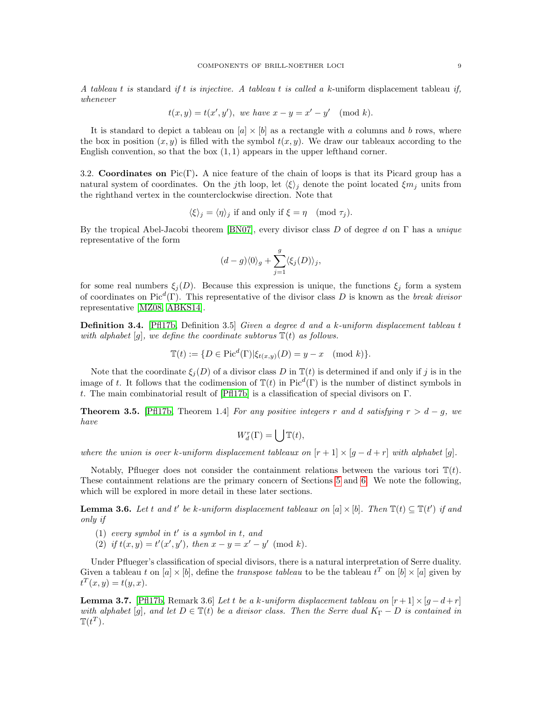A tableau t is standard if t is injective. A tableau t is called a k-uniform displacement tableau if, whenever

$$
t(x, y) = t(x', y'), \text{ we have } x - y = x' - y' \pmod{k}.
$$

It is standard to depict a tableau on  $[a] \times [b]$  as a rectangle with a columns and b rows, where the box in position  $(x, y)$  is filled with the symbol  $t(x, y)$ . We draw our tableaux according to the English convention, so that the box  $(1, 1)$  appears in the upper lefthand corner.

3.2. Coordinates on Pic(Γ). A nice feature of the chain of loops is that its Picard group has a natural system of coordinates. On the jth loop, let  $\langle \xi \rangle_j$  denote the point located  $\xi m_j$  units from the righthand vertex in the counterclockwise direction. Note that

$$
\langle \xi \rangle_j = \langle \eta \rangle_j
$$
 if and only if  $\xi = \eta \pmod{\tau_j}$ .

By the tropical Abel-Jacobi theorem [\[BN07\]](#page-20-12), every divisor class D of degree d on  $\Gamma$  has a unique representative of the form

$$
(d-g)\langle 0 \rangle_g + \sum_{j=1}^g \langle \xi_j(D) \rangle_j,
$$

for some real numbers  $\xi_i(D)$ . Because this expression is unique, the functions  $\xi_i$  form a system of coordinates on Pic<sup>d</sup>(Γ). This representative of the divisor class D is known as the break divisor representative [\[MZ08,](#page-20-13) [ABKS14\]](#page-20-14).

Definition 3.4. [\[Pfl17b,](#page-20-9) Definition 3.5] Given a degree d and a k-uniform displacement tableau t with alphabet [g], we define the coordinate subtorus  $\mathbb{T}(t)$  as follows.

$$
\mathbb{T}(t) := \{ D \in \text{Pic}^d(\Gamma) | \xi_{t(x,y)}(D) = y - x \pmod{k} \}.
$$

Note that the coordinate  $\xi_i(D)$  of a divisor class D in  $\mathbb{T}(t)$  is determined if and only if j is in the image of t. It follows that the codimension of  $\mathbb{T}(t)$  in Pic<sup>d</sup>(Γ) is the number of distinct symbols in t. The main combinatorial result of [\[Pfl17b\]](#page-20-9) is a classification of special divisors on Γ.

<span id="page-8-0"></span>**Theorem 3.5.** [\[Pfl17b,](#page-20-9) Theorem 1.4] For any positive integers r and d satisfying  $r > d - g$ , we have

$$
W_d^r(\Gamma) = \bigcup \mathbb{T}(t),
$$

where the union is over k-uniform displacement tableaux on  $[r+1] \times [g-d+r]$  with alphabet [g].

Notably, Pflueger does not consider the containment relations between the various tori  $\mathbb{T}(t)$ . These containment relations are the primary concern of Sections [5](#page-12-0) and [6.](#page-16-0) We note the following, which will be explored in more detail in these later sections.

<span id="page-8-1"></span>**Lemma 3.6.** Let t and t' be k-uniform displacement tableaux on [a]  $\times$  [b]. Then  $\mathbb{T}(t) \subseteq \mathbb{T}(t')$  if and only if

- (1) every symbol in  $t'$  is a symbol in  $t$ , and
- (2) if  $t(x, y) = t'(x', y')$ , then  $x y = x' y' \pmod{k}$ .

Under Pflueger's classification of special divisors, there is a natural interpretation of Serre duality. Given a tableau t on  $[a] \times [b]$ , define the transpose tableau to be the tableau  $t^T$  on  $[b] \times [a]$  given by  $t^{T}(x, y) = t(y, x).$ 

**Lemma 3.7.** [\[Pfl17b,](#page-20-9) Remark 3.6] Let t be a k-uniform displacement tableau on  $[r+1] \times [g-d+r]$ with alphabet [g], and let  $D \in \mathbb{T}(t)$  be a divisor class. Then the Serre dual  $K_{\Gamma} - D$  is contained in  $\mathbb{T}(t^T)$ .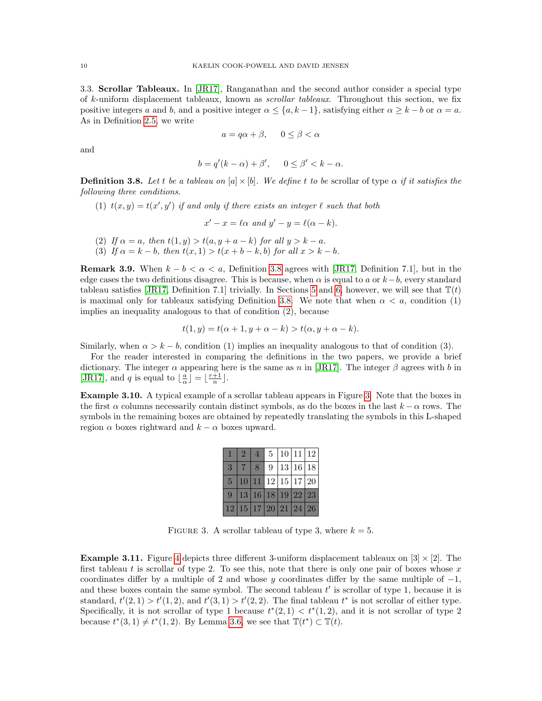3.3. Scrollar Tableaux. In [\[JR17\]](#page-20-4), Ranganathan and the second author consider a special type of k-uniform displacement tableaux, known as scrollar tableaux. Throughout this section, we fix positive integers a and b, and a positive integer  $\alpha \leq \{a, k-1\}$ , satisfying either  $\alpha \geq k - b$  or  $\alpha = a$ . As in Definition [2.5,](#page-4-0) we write

$$
a = q\alpha + \beta, \quad 0 \le \beta < \alpha
$$

and

$$
b = q'(k - \alpha) + \beta', \qquad 0 \le \beta' < k - \alpha.
$$

<span id="page-9-0"></span>**Definition 3.8.** Let t be a tableau on [a]  $\times$  [b]. We define t to be scrollar of type  $\alpha$  if it satisfies the following three conditions.

(1)  $t(x, y) = t(x', y')$  if and only if there exists an integer  $\ell$  such that both

$$
x'-x = \ell \alpha \text{ and } y'-y = \ell(\alpha - k).
$$

- (2) If  $\alpha = a$ , then  $t(1, y) > t(a, y + a k)$  for all  $y > k a$ .
- (3) If  $\alpha = k b$ , then  $t(x, 1) > t(x + b k, b)$  for all  $x > k b$ .

**Remark 3.9.** When  $k - b < \alpha < a$ , Definition [3.8](#page-9-0) agrees with [\[JR17,](#page-20-4) Definition 7.1], but in the edge cases the two definitions disagree. This is because, when  $\alpha$  is equal to a or  $k-b$ , every standard tableau satisfies [\[JR17,](#page-20-4) Definition 7.1] trivially. In Sections [5](#page-12-0) and [6,](#page-16-0) however, we will see that  $\mathbb{T}(t)$ is maximal only for tableaux satisfying Definition [3.8.](#page-9-0) We note that when  $\alpha < a$ , condition (1) implies an inequality analogous to that of condition (2), because

$$
t(1, y) = t(\alpha + 1, y + \alpha - k) > t(\alpha, y + \alpha - k).
$$

Similarly, when  $\alpha > k - b$ , condition (1) implies an inequality analogous to that of condition (3).

For the reader interested in comparing the definitions in the two papers, we provide a brief dictionary. The integer  $\alpha$  appearing here is the same as n in [\[JR17\]](#page-20-4). The integer  $\beta$  agrees with b in [\[JR17\]](#page-20-4), and q is equal to  $\lfloor \frac{a}{\alpha} \rfloor = \lfloor \frac{r+1}{n} \rfloor$ .

Example 3.10. A typical example of a scrollar tableau appears in Figure [3.](#page-9-1) Note that the boxes in the first  $\alpha$  columns necessarily contain distinct symbols, as do the boxes in the last  $k - \alpha$  rows. The symbols in the remaining boxes are obtained by repeatedly translating the symbols in this L-shaped region  $\alpha$  boxes rightward and  $k - \alpha$  boxes upward.

|                | $\sqrt{2}$ |  | 5 10 11 12           |  |
|----------------|------------|--|----------------------|--|
| 3              | 8          |  | 9 13 16 18           |  |
| 5 <sup>5</sup> |            |  | 10 11 12 15 17 20    |  |
| $\mathbf{Q}$   |            |  | 13 16 18 19 22 23    |  |
|                |            |  | 12 15 17 20 21 24 26 |  |

<span id="page-9-1"></span>FIGURE 3. A scrollar tableau of type 3, where  $k = 5$ .

**Example 3.11.** Figure [4](#page-10-0) depicts three different 3-uniform displacement tableaux on  $[3] \times [2]$ . The first tableau t is scrollar of type 2. To see this, note that there is only one pair of boxes whose  $x$ coordinates differ by a multiple of 2 and whose y coordinates differ by the same multiple of  $-1$ , and these boxes contain the same symbol. The second tableau  $t'$  is scrollar of type 1, because it is standard,  $t'(2,1) > t'(1,2)$ , and  $t'(3,1) > t'(2,2)$ . The final tableau  $t^*$  is not scrollar of either type. Specifically, it is not scrollar of type 1 because  $t^*(2,1) < t^*(1,2)$ , and it is not scrollar of type 2 because  $t^*(3,1) \neq t^*(1,2)$ . By Lemma [3.6,](#page-8-1) we see that  $\mathbb{T}(t^*) \subset \mathbb{T}(t)$ .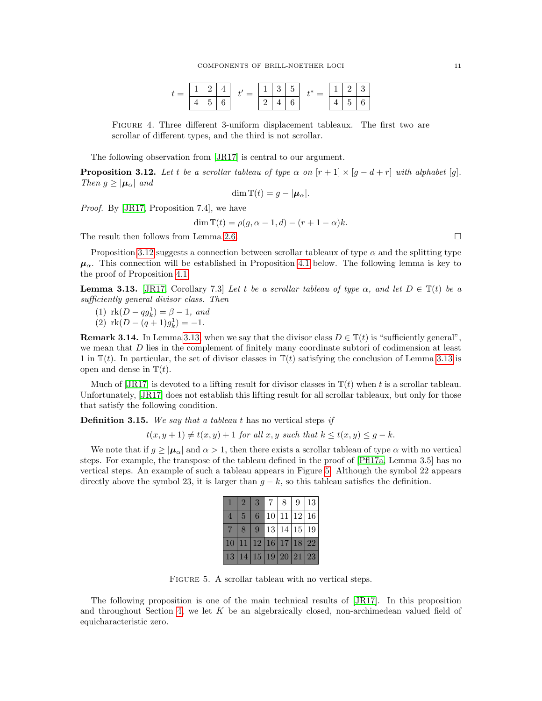<span id="page-10-0"></span>

|  |                       |  | $\mathbf{1}$<br>Ŧ, | 5 |  |   | 3 |
|--|-----------------------|--|--------------------|---|--|---|---|
|  | $\tilde{\phantom{a}}$ |  |                    |   |  | ۰ | ັ |

Figure 4. Three different 3-uniform displacement tableaux. The first two are scrollar of different types, and the third is not scrollar.

The following observation from [\[JR17\]](#page-20-4) is central to our argument.

<span id="page-10-1"></span>**Proposition 3.12.** Let t be a scrollar tableau of type  $\alpha$  on  $[r+1] \times [g-d+r]$  with alphabet [g]. Then  $g \geq |\mu_{\alpha}|$  and

$$
\dim \mathbb{T}(t) = g - |\mu_\alpha|.
$$

Proof. By [\[JR17,](#page-20-4) Proposition 7.4], we have

$$
\dim \mathbb{T}(t) = \rho(g, \alpha - 1, d) - (r + 1 - \alpha)k.
$$

The result then follows from Lemma [2.6.](#page-4-2)

Proposition [3.12](#page-10-1) suggests a connection between scrollar tableaux of type  $\alpha$  and the splitting type  $\mu_{\alpha}$ . This connection will be established in Proposition [4.1](#page-11-1) below. The following lemma is key to the proof of Proposition [4.1.](#page-11-1)

<span id="page-10-2"></span>**Lemma 3.13.** [\[JR17,](#page-20-4) Corollary 7.3] Let t be a scrollar tableau of type  $\alpha$ , and let  $D \in \mathbb{T}(t)$  be a sufficiently general divisor class. Then

(1) 
$$
\text{rk}(D - qg_k^1) = \beta - 1
$$
, and

(2)  $rk(D - (q+1)g_k^1) = -1.$ 

**Remark 3.14.** In Lemma [3.13,](#page-10-2) when we say that the divisor class  $D \in \mathbb{T}(t)$  is "sufficiently general". we mean that D lies in the complement of finitely many coordinate subtori of codimension at least 1 in  $\mathbb{T}(t)$ . In particular, the set of divisor classes in  $\mathbb{T}(t)$  satisfying the conclusion of Lemma [3.13](#page-10-2) is open and dense in  $\mathbb{T}(t)$ .

Much of  $\vert JRI7 \vert$  is devoted to a lifting result for divisor classes in  $\mathbb{T}(t)$  when t is a scrollar tableau. Unfortunately, [\[JR17\]](#page-20-4) does not establish this lifting result for all scrollar tableaux, but only for those that satisfy the following condition.

**Definition 3.15.** We say that a tableau t has no vertical steps if

 $t(x, y + 1) \neq t(x, y) + 1$  for all x, y such that  $k \leq t(x, y) \leq q - k$ .

We note that if  $g \geq |\mu_{\alpha}|$  and  $\alpha > 1$ , then there exists a scrollar tableau of type  $\alpha$  with no vertical steps. For example, the transpose of the tableau defined in the proof of [\[Pfl17a,](#page-20-3) Lemma 3.5] has no vertical steps. An example of such a tableau appears in Figure [5.](#page-10-3) Although the symbol 22 appears directly above the symbol 23, it is larger than  $g - k$ , so this tableau satisfies the definition.

|   | 3 | 7 <sup>1</sup>       | 8   9   13 |  |
|---|---|----------------------|------------|--|
| 5 | 6 | 10 11 12 16          |            |  |
| 8 |   | 9 13 14 15 19        |            |  |
|   |   | 10 11 12 16 17 18 22 |            |  |
|   |   | 13 14 15 19 20 21 23 |            |  |

<span id="page-10-3"></span>FIGURE 5. A scrollar tableau with no vertical steps.

The following proposition is one of the main technical results of [\[JR17\]](#page-20-4). In this proposition and throughout Section [4,](#page-11-0) we let  $K$  be an algebraically closed, non-archimedean valued field of equicharacteristic zero.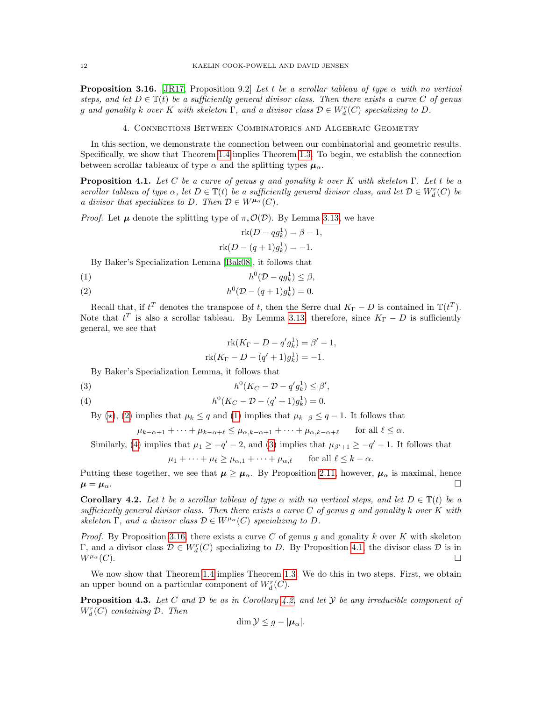<span id="page-11-6"></span>**Proposition 3.16.** [\[JR17,](#page-20-4) Proposition 9.2] Let t be a scrollar tableau of type  $\alpha$  with no vertical steps, and let  $D \in \mathbb{T}(t)$  be a sufficiently general divisor class. Then there exists a curve C of genus g and gonality k over K with skeleton  $\Gamma$ , and a divisor class  $\mathcal{D} \in W_d^r(C)$  specializing to D.

# 4. Connections Between Combinatorics and Algebraic Geometry

<span id="page-11-0"></span>In this section, we demonstrate the connection between our combinatorial and geometric results. Specifically, we show that Theorem [1.4](#page-2-2) implies Theorem [1.3.](#page-1-2) To begin, we establish the connection between scrollar tableaux of type  $\alpha$  and the splitting types  $\mu_{\alpha}$ .

<span id="page-11-1"></span>**Proposition 4.1.** Let C be a curve of genus g and gonality k over K with skeleton  $\Gamma$ . Let t be a scrollar tableau of type  $\alpha$ , let  $D \in \mathbb{T}(t)$  be a sufficiently general divisor class, and let  $D \in W_d^r(C)$  be a divisor that specializes to D. Then  $\mathcal{D} \in W^{\mu_\alpha}(C)$ .

*Proof.* Let  $\mu$  denote the splitting type of  $\pi_*\mathcal{O}(\mathcal{D})$ . By Lemma [3.13,](#page-10-2) we have

$$
\operatorname{rk}(D - qg_k^1) = \beta - 1,
$$
  

$$
\operatorname{rk}(D - (q+1)g_k^1) = -1.
$$

By Baker's Specialization Lemma [\[Bak08\]](#page-20-10), it follows that

<span id="page-11-3"></span>
$$
(1) \t\t\t h^0(\mathcal{D} - qg_k^1) \le \beta,
$$

<span id="page-11-2"></span>(2) 
$$
h^{0}(\mathcal{D} - (q+1)g_{k}^{1}) = 0.
$$

Recall that, if  $t^T$  denotes the transpose of t, then the Serre dual  $K_{\Gamma}-D$  is contained in  $\mathbb{T}(t^T)$ . Note that  $t^T$  is also a scrollar tableau. By Lemma [3.13,](#page-10-2) therefore, since  $K_{\Gamma} - D$  is sufficiently general, we see that

$$
rk(K_{\Gamma} - D - q'g_{k}^{1}) = \beta' - 1,
$$
  

$$
rk(K_{\Gamma} - D - (q' + 1)g_{k}^{1}) = -1.
$$

By Baker's Specialization Lemma, it follows that

<span id="page-11-5"></span>
$$
(3) \t\t\t h^0(K_C - \mathcal{D} - q' g_k^1) \le \beta',
$$

<span id="page-11-4"></span>(4) 
$$
h^0(K_C - \mathcal{D} - (q' + 1)g_k^1) = 0.
$$

By ( $\star$ ), [\(2\)](#page-11-2) implies that  $\mu_k \leq q$  and [\(1\)](#page-11-3) implies that  $\mu_{k-\beta} \leq q-1$ . It follows that

$$
\mu_{k-\alpha+1} + \cdots + \mu_{k-\alpha+\ell} \leq \mu_{\alpha,k-\alpha+1} + \cdots + \mu_{\alpha,k-\alpha+\ell}
$$
 for all  $\ell \leq \alpha$ .

Similarly, [\(4\)](#page-11-4) implies that  $\mu_1 \ge -q -2$ , and [\(3\)](#page-11-5) implies that  $\mu_{\beta'+1} \ge -q -1$ . It follows that

$$
\mu_1 + \dots + \mu_\ell \ge \mu_{\alpha,1} + \dots + \mu_{\alpha,\ell} \quad \text{for all } \ell \le k - \alpha.
$$

Putting these together, we see that  $\mu \ge \mu_{\alpha}$ . By Proposition [2.11,](#page-6-0) however,  $\mu_{\alpha}$  is maximal, hence  $\mu = \mu_{\alpha}$ .

<span id="page-11-7"></span>Corollary 4.2. Let t be a scrollar tableau of type  $\alpha$  with no vertical steps, and let  $D \in \mathbb{T}(t)$  be a sufficiently general divisor class. Then there exists a curve  $C$  of genus g and gonality k over  $K$  with skeleton Γ, and a divisor class  $D \in W^{\mu_\alpha}(C)$  specializing to D.

*Proof.* By Proposition [3.16,](#page-11-6) there exists a curve C of genus q and gonality k over K with skeleton Γ, and a divisor class  $\mathcal{D} \in W_d^r(C)$  specializing to D. By Proposition [4.1,](#page-11-1) the divisor class  $\mathcal D$  is in  $W^{\mu_{\alpha}}(C).$ 

We now show that Theorem [1.4](#page-2-2) implies Theorem [1.3.](#page-1-2) We do this in two steps. First, we obtain an upper bound on a particular component of  $W_d^r(C)$ .

<span id="page-11-8"></span>**Proposition 4.3.** Let C and D be as in Corollary [4.2,](#page-11-7) and let Y be any irreducible component of  $W_d^r(C)$  containing  $\mathcal{D}$ . Then

$$
\dim \mathcal{Y} \leq g - |\mu_\alpha|.
$$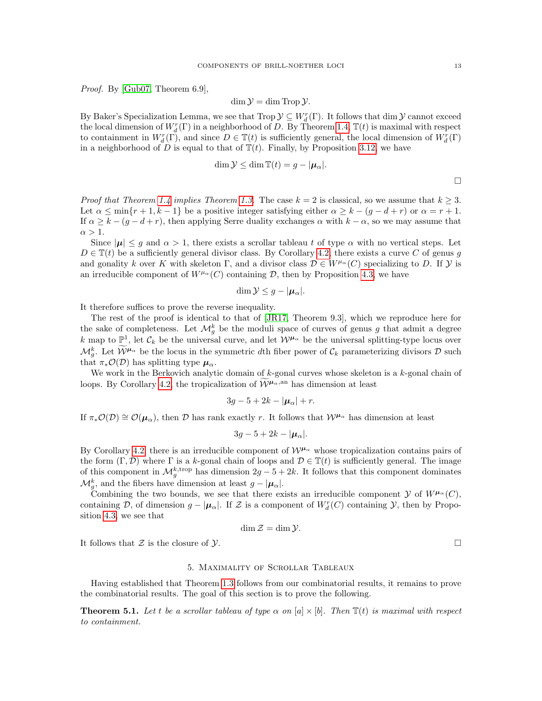Proof. By [\[Gub07,](#page-20-15) Theorem 6.9],

$$
\dim \mathcal{Y} = \dim \operatorname{Trop} \mathcal{Y}.
$$

By Baker's Specialization Lemma, we see that Trop  $\mathcal{Y} \subseteq W_d^r(\Gamma)$ . It follows that dim  $\mathcal{Y}$  cannot exceed the local dimension of  $W_d^r(\Gamma)$  in a neighborhood of D. By Theorem [1.4,](#page-2-2)  $\mathbb{T}(t)$  is maximal with respect to containment in  $W_d^r(\Gamma)$ , and since  $D \in \mathbb{T}(t)$  is sufficiently general, the local dimension of  $W_d^r(\Gamma)$ in a neighborhood of D is equal to that of  $\mathbb{T}(t)$ . Finally, by Proposition [3.12,](#page-10-1) we have

$$
\dim \mathcal{Y} \leq \dim \mathbb{T}(t) = g - |\boldsymbol{\mu}_{\alpha}|.
$$

*Proof that Theorem [1.4](#page-2-2) implies Theorem [1.3.](#page-1-2)* The case  $k = 2$  is classical, so we assume that  $k \geq 3$ . Let  $\alpha \le \min\{r+1, k-1\}$  be a positive integer satisfying either  $\alpha \ge k - (g - d + r)$  or  $\alpha = r + 1$ . If  $\alpha \geq k - (g - d + r)$ , then applying Serre duality exchanges  $\alpha$  with  $k - \alpha$ , so we may assume that  $\alpha > 1$ .

Since  $|\mu| \leq g$  and  $\alpha > 1$ , there exists a scrollar tableau t of type  $\alpha$  with no vertical steps. Let  $D \in \mathbb{T}(t)$  be a sufficiently general divisor class. By Corollary [4.2,](#page-11-7) there exists a curve C of genus g and gonality k over K with skeleton Γ, and a divisor class  $\mathcal{D} \in W^{\mu_\alpha}(C)$  specializing to D. If  $\mathcal Y$  is an irreducible component of  $W^{\mu\alpha}(C)$  containing  $D$ , then by Proposition [4.3,](#page-11-8) we have

$$
\dim \mathcal{Y} \leq g - |\mu_\alpha|.
$$

It therefore suffices to prove the reverse inequality.

The rest of the proof is identical to that of [\[JR17,](#page-20-4) Theorem 9.3], which we reproduce here for the sake of completeness. Let  $\mathcal{M}_g^k$  be the moduli space of curves of genus g that admit a degree k map to  $\mathbb{P}^1$ , let  $\mathcal{C}_k$  be the universal curve, and let  $\mathcal{W}^{\mu_\alpha}$  be the universal splitting-type locus over  $\mathcal{M}_{g}^{k}$ . Let  $\mathcal{W}^{\mu_{\alpha}}$  be the locus in the symmetric dth fiber power of  $\mathcal{C}_{k}$  parameterizing divisors  $\mathcal{D}$  such that  $\pi_*\mathcal{O}(\mathcal{D})$  has splitting type  $\mu_\alpha$ .

We work in the Berkovich analytic domain of  $k$ -gonal curves whose skeleton is a  $k$ -gonal chain of loops. By Corollary [4.2,](#page-11-7) the tropicalization of  $\mathcal{W}^{\mu_{\alpha},an}$  has dimension at least

$$
3g-5+2k-|\boldsymbol{\mu}_{\alpha}|+r.
$$

If  $\pi_*\mathcal{O}(\mathcal{D}) \cong \mathcal{O}(\mu_\alpha)$ , then D has rank exactly r. It follows that  $\mathcal{W}^{\mu_\alpha}$  has dimension at least

$$
3g-5+2k-|\mu_{\alpha}|.
$$

By Corollary [4.2,](#page-11-7) there is an irreducible component of  $W^{\mu_\alpha}$  whose tropicalization contains pairs of the form  $(\Gamma, \mathcal{D})$  where  $\Gamma$  is a k-gonal chain of loops and  $\mathcal{D} \in \mathbb{T}(t)$  is sufficiently general. The image of this component in  $\mathcal{M}_g^{k,\text{trop}}$  has dimension  $2g-5+2k$ . It follows that this component dominates  $\mathcal{M}_g^k$ , and the fibers have dimension at least  $g - |\mu_\alpha|$ .

Combining the two bounds, we see that there exists an irreducible component  $\mathcal Y$  of  $W^{\mu_\alpha}(C)$ , containing D, of dimension  $g - |\mu_{\alpha}|$ . If Z is a component of  $W_d^r(C)$  containing Y, then by Proposition [4.3,](#page-11-8) we see that

$$
\dim \mathcal{Z} = \dim \mathcal{Y}.
$$

It follows that  $\mathcal Z$  is the closure of  $\mathcal Y$ .

### 5. Maximality of Scrollar Tableaux

<span id="page-12-0"></span>Having established that Theorem [1.3](#page-1-2) follows from our combinatorial results, it remains to prove the combinatorial results. The goal of this section is to prove the following.

<span id="page-12-1"></span>**Theorem 5.1.** Let t be a scrollar tableau of type  $\alpha$  on  $[a] \times [b]$ . Then  $\mathbb{T}(t)$  is maximal with respect to containment.

 $\hfill \square$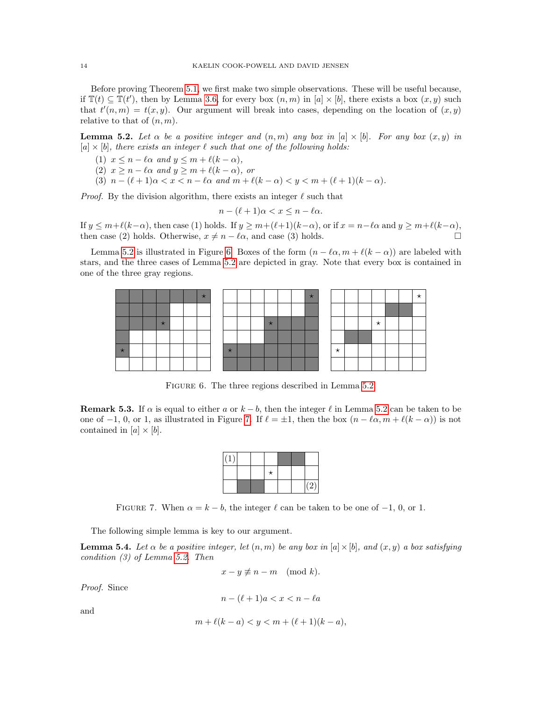Before proving Theorem [5.1,](#page-12-1) we first make two simple observations. These will be useful because, if  $\mathbb{T}(t) \subseteq \mathbb{T}(t')$ , then by Lemma [3.6,](#page-8-1) for every box  $(n, m)$  in  $[a] \times [b]$ , there exists a box  $(x, y)$  such that  $t'(n,m) = t(x, y)$ . Our argument will break into cases, depending on the location of  $(x, y)$ relative to that of  $(n, m)$ .

<span id="page-13-0"></span>**Lemma 5.2.** Let  $\alpha$  be a positive integer and  $(n, m)$  any box in  $[a] \times [b]$ . For any box  $(x, y)$  in  $[a] \times [b]$ , there exists an integer  $\ell$  such that one of the following holds:

- (1)  $x \le n \ell \alpha$  and  $y \le m + \ell(k \alpha)$ ,
- (2)  $x \ge n \ell \alpha$  and  $y \ge m + \ell(k \alpha)$ , or
- (3)  $n (\ell + 1)\alpha < x < n \ell\alpha$  and  $m + \ell(k \alpha) < y < m + (\ell + 1)(k \alpha)$ .

*Proof.* By the division algorithm, there exists an integer  $\ell$  such that

$$
n - (\ell + 1)\alpha < x \le n - \ell \alpha.
$$

If  $y \le m+\ell(k-\alpha)$ , then case (1) holds. If  $y \ge m+(\ell+1)(k-\alpha)$ , or if  $x = n-\ell\alpha$  and  $y \ge m+\ell(k-\alpha)$ , then case (2) holds. Otherwise,  $x \neq n - \ell \alpha$ , and case (3) holds.

Lemma [5.2](#page-13-0) is illustrated in Figure [6.](#page-13-1) Boxes of the form  $(n - \ell \alpha, m + \ell(k - \alpha))$  are labeled with stars, and the three cases of Lemma [5.2](#page-13-0) are depicted in gray. Note that every box is contained in one of the three gray regions.

|         |  |  | $\star$ |  |  |         |  | $\star$ |         |  |          |  |  |
|---------|--|--|---------|--|--|---------|--|---------|---------|--|----------|--|--|
|         |  |  |         |  |  |         |  |         |         |  |          |  |  |
|         |  |  |         |  |  | $\star$ |  |         |         |  | $^\star$ |  |  |
|         |  |  |         |  |  |         |  |         |         |  |          |  |  |
| $\star$ |  |  |         |  |  |         |  |         | $\star$ |  |          |  |  |
|         |  |  |         |  |  |         |  |         |         |  |          |  |  |

<span id="page-13-1"></span>FIGURE 6. The three regions described in Lemma [5.2.](#page-13-0)

**Remark 5.3.** If  $\alpha$  is equal to either a or  $k - b$ , then the integer  $\ell$  in Lemma [5.2](#page-13-0) can be taken to be one of −1, 0, or 1, as illustrated in Figure [7.](#page-13-2) If  $\ell = \pm 1$ , then the box  $(n - \ell \alpha, m + \ell(k - \alpha))$  is not contained in  $[a] \times [b]$ .

| ٠ |  |         |  |              |
|---|--|---------|--|--------------|
|   |  | $\star$ |  |              |
|   |  |         |  | $\mathbf{z}$ |

<span id="page-13-2"></span>FIGURE 7. When  $\alpha = k - b$ , the integer  $\ell$  can be taken to be one of  $-1$ , 0, or 1.

The following simple lemma is key to our argument.

<span id="page-13-3"></span>**Lemma 5.4.** Let  $\alpha$  be a positive integer, let  $(n, m)$  be any box in  $[a] \times [b]$ , and  $(x, y)$  a box satisfying condition (3) of Lemma [5.2.](#page-13-0) Then

$$
x - y \not\equiv n - m \pmod{k}.
$$

Proof. Since

$$
n - (\ell + 1)a < x < n - \ell a
$$

and

$$
m + \ell(k - a) < y < m + (\ell + 1)(k - a),
$$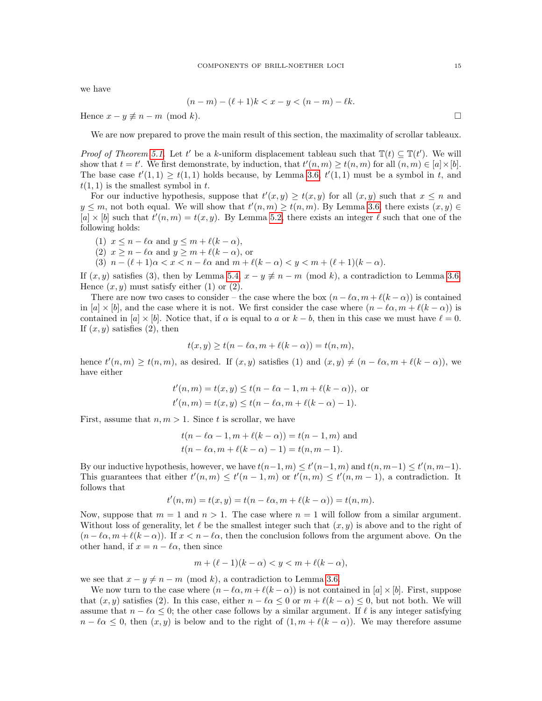we have

$$
(n-m) - (\ell+1)k < x - y < (n-m) - \ell k.
$$

Hence  $x - y \neq n - m \pmod{k}$ .

We are now prepared to prove the main result of this section, the maximality of scrollar tableaux.

*Proof of Theorem [5.1.](#page-12-1)* Let t' be a k-uniform displacement tableau such that  $\mathbb{T}(t) \subseteq \mathbb{T}(t')$ . We will show that  $t = t'$ . We first demonstrate, by induction, that  $t'(n, m) \ge t(n, m)$  for all  $(n, m) \in [a] \times [b]$ . The base case  $t'(1,1) \geq t(1,1)$  holds because, by Lemma [3.6,](#page-8-1)  $t'(1,1)$  must be a symbol in t, and  $t(1, 1)$  is the smallest symbol in t.

For our inductive hypothesis, suppose that  $t'(x, y) \ge t(x, y)$  for all  $(x, y)$  such that  $x \le n$  and  $y \leq m$ , not both equal. We will show that  $t'(n,m) \geq t(n,m)$ . By Lemma [3.6,](#page-8-1) there exists  $(x, y) \in$  $[a] \times [b]$  such that  $t'(n,m) = t(x,y)$ . By Lemma [5.2,](#page-13-0) there exists an integer  $\ell$  such that one of the following holds:

(1) 
$$
x \le n - \ell \alpha
$$
 and  $y \le m + \ell(k - \alpha)$ ,

- (2)  $x \ge n \ell \alpha$  and  $y \ge m + \ell(k \alpha)$ , or
- (3)  $n (\ell + 1)\alpha < x < n \ell\alpha$  and  $m + \ell(k \alpha) < y < m + (\ell + 1)(k \alpha)$ .

If  $(x, y)$  satisfies (3), then by Lemma [5.4,](#page-13-3)  $x - y \neq n - m \pmod{k}$ , a contradiction to Lemma [3.6.](#page-8-1) Hence  $(x, y)$  must satisfy either (1) or (2).

There are now two cases to consider – the case where the box  $(n - \ell \alpha, m + \ell(k - \alpha))$  is contained in [a]  $\times$  [b], and the case where it is not. We first consider the case where  $(n - \ell \alpha, m + \ell(k - \alpha))$  is contained in  $[a] \times [b]$ . Notice that, if  $\alpha$  is equal to  $a$  or  $k - b$ , then in this case we must have  $\ell = 0$ . If  $(x, y)$  satisfies  $(2)$ , then

$$
t(x, y) \ge t(n - \ell \alpha, m + \ell(k - \alpha)) = t(n, m),
$$

hence  $t'(n,m) \ge t(n,m)$ , as desired. If  $(x, y)$  satisfies (1) and  $(x, y) \ne (n - \ell \alpha, m + \ell(k - \alpha))$ , we have either

$$
t'(n, m) = t(x, y) \le t(n - \ell\alpha - 1, m + \ell(k - \alpha)),
$$
 or  
\n $t'(n, m) = t(x, y) \le t(n - \ell\alpha, m + \ell(k - \alpha) - 1).$ 

First, assume that  $n, m > 1$ . Since t is scrollar, we have

$$
t(n - \ell\alpha - 1, m + \ell(k - \alpha)) = t(n - 1, m)
$$
 and  
 $t(n - \ell\alpha, m + \ell(k - \alpha) - 1) = t(n, m - 1).$ 

By our inductive hypothesis, however, we have  $t(n-1,m) \le t'(n-1,m)$  and  $t(n,m-1) \le t'(n,m-1)$ . This guarantees that either  $t'(n,m) \leq t'(n-1,m)$  or  $t'(n,m) \leq t'(n,m-1)$ , a contradiction. It follows that

$$
t'(n, m) = t(x, y) = t(n - \ell \alpha, m + \ell(k - \alpha)) = t(n, m).
$$

Now, suppose that  $m = 1$  and  $n > 1$ . The case where  $n = 1$  will follow from a similar argument. Without loss of generality, let  $\ell$  be the smallest integer such that  $(x, y)$  is above and to the right of  $(n - \ell \alpha, m + \ell(k - \alpha))$ . If  $x < n - \ell \alpha$ , then the conclusion follows from the argument above. On the other hand, if  $x = n - \ell \alpha$ , then since

$$
m + (\ell - 1)(k - \alpha) < y < m + \ell(k - \alpha),
$$

we see that  $x - y \neq n - m \pmod{k}$ , a contradiction to Lemma [3.6.](#page-8-1)

We now turn to the case where  $(n - \ell \alpha, m + \ell(k - \alpha))$  is not contained in [a]  $\times$  [b]. First, suppose that  $(x, y)$  satisfies (2). In this case, either  $n - \ell \alpha \leq 0$  or  $m + \ell(k - \alpha) \leq 0$ , but not both. We will assume that  $n - \ell \alpha \leq 0$ ; the other case follows by a similar argument. If  $\ell$  is any integer satisfying  $n - \ell \alpha \leq 0$ , then  $(x, y)$  is below and to the right of  $(1, m + \ell(k - \alpha))$ . We may therefore assume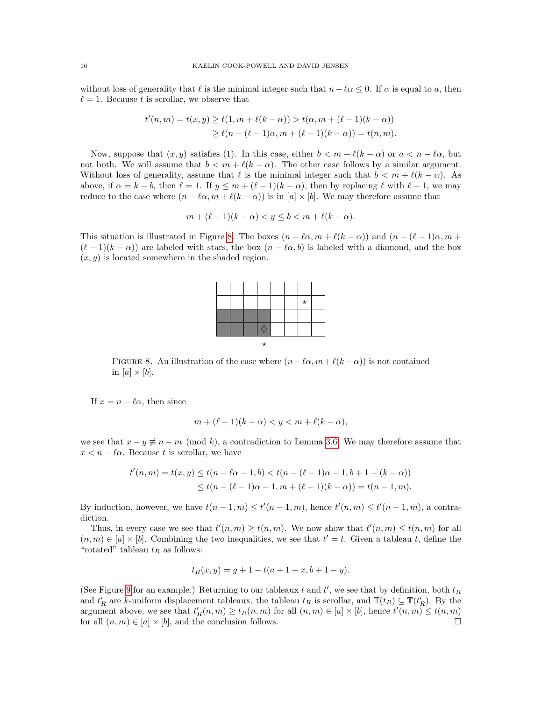without loss of generality that  $\ell$  is the minimal integer such that  $n-\ell\alpha \leq 0$ . If  $\alpha$  is equal to a, then  $\ell = 1$ . Because t is scrollar, we observe that

$$
t'(n, m) = t(x, y) \ge t(1, m + \ell(k - \alpha)) > t(\alpha, m + (\ell - 1)(k - \alpha))
$$
  
 
$$
\ge t(n - (\ell - 1)\alpha, m + (\ell - 1)(k - \alpha)) = t(n, m).
$$

Now, suppose that  $(x, y)$  satisfies (1). In this case, either  $b < m + \ell(k - \alpha)$  or  $a < n - \ell \alpha$ , but not both. We will assume that  $b < m + \ell(k - \alpha)$ . The other case follows by a similar argument. Without loss of generality, assume that  $\ell$  is the minimal integer such that  $b < m + \ell(k - \alpha)$ . As above, if  $\alpha = k - b$ , then  $\ell = 1$ . If  $y \le m + (\ell - 1)(k - \alpha)$ , then by replacing  $\ell$  with  $\ell - 1$ , we may reduce to the case where  $(n - \ell \alpha, m + \ell(k - \alpha))$  is in  $[a] \times [b]$ . We may therefore assume that

$$
m + (\ell - 1)(k - \alpha) < y \le b < m + \ell(k - \alpha).
$$

This situation is illustrated in Figure [8.](#page-15-0) The boxes  $(n - \ell \alpha, m + \ell(k - \alpha))$  and  $(n - (\ell - 1)\alpha, m + \ell(k - \alpha))$  $(\ell - 1)(k - \alpha)$  are labeled with stars, the box  $(n - \ell \alpha, b)$  is labeled with a diamond, and the box  $(x, y)$  is located somewhere in the shaded region.

<span id="page-15-0"></span>FIGURE 8. An illustration of the case where  $(n-\ell\alpha, m+\ell(k-\alpha))$  is not contained in  $[a] \times [b]$ .

If  $x = n - \ell \alpha$ , then since

$$
m + (\ell - 1)(k - \alpha) < y < m + \ell(k - \alpha)
$$

we see that  $x - y \neq n - m \pmod{k}$ , a contradiction to Lemma [3.6.](#page-8-1) We may therefore assume that  $x < n - \ell \alpha$ . Because t is scrollar, we have

$$
t'(n,m) = t(x,y) \le t(n - \ell\alpha - 1, b) < t(n - (\ell - 1)\alpha - 1, b + 1 - (k - \alpha))
$$
  

$$
\le t(n - (\ell - 1)\alpha - 1, m + (\ell - 1)(k - \alpha)) = t(n - 1, m).
$$

By induction, however, we have  $t(n-1,m) \le t'(n-1,m)$ , hence  $t'(n,m) \le t'(n-1,m)$ , a contradiction.

Thus, in every case we see that  $t'(n,m) \ge t(n,m)$ . We now show that  $t'(n,m) \le t(n,m)$  for all  $(n, m) \in [a] \times [b]$ . Combining the two inequalities, we see that  $t' = t$ . Given a tableau t, define the "rotated" tableau  $t_R$  as follows:

$$
t_R(x,y) = g + 1 - t(a + 1 - x, b + 1 - y).
$$

(See Figure [9](#page-16-1) for an example.) Returning to our tableaux t and  $t'$ , we see that by definition, both  $t_R$ and  $t_R'$  are k-uniform displacement tableaux, the tableau  $t_R$  is scrollar, and  $\mathbb{T}(t_R) \subseteq \mathbb{T}(t_R')$ . By the argument above, we see that  $t_R'(n,m) \ge t_R(n,m)$  for all  $(n,m) \in [a] \times [b]$ , hence  $t'(n,m) \le t(n,m)$ for all  $(n, m) \in [a] \times [b]$ , and the conclusion follows.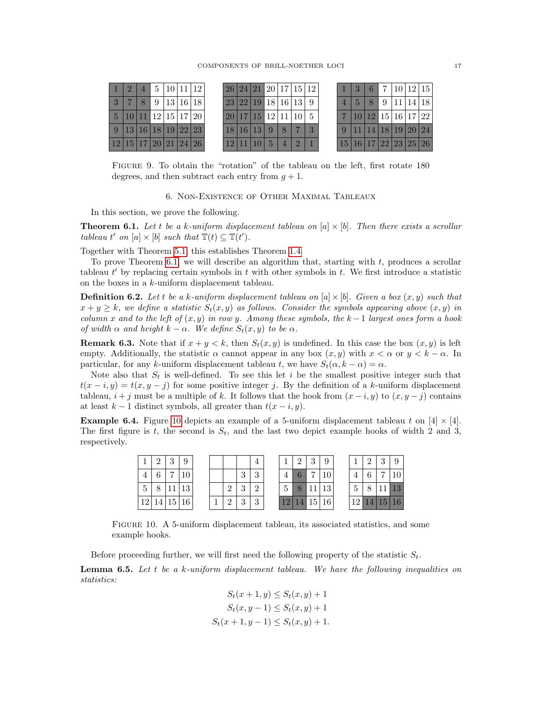|                      |                     | $\sqrt{2}$ |   | 5   10   11   12 |  | 26 24 21 20 17 15 12                                            |  |                |    |  | 6 <sup>1</sup> |  | 17 10 12 15                                                                      |  |
|----------------------|---------------------|------------|---|------------------|--|-----------------------------------------------------------------|--|----------------|----|--|----------------|--|----------------------------------------------------------------------------------|--|
|                      |                     |            | 9 | 13 16 18         |  | $\vert 23 \vert 22 \vert 19 \vert 18 \vert 16 \vert 13 \vert 9$ |  |                |    |  | 8              |  | 9 11 14 18                                                                       |  |
| 5 <sup>5</sup>       | 10 11 12 15 17 20   |            |   |                  |  | 20 17 15 12 11 10                                               |  |                |    |  |                |  | $10\overline{)12\overline{)15\overline{16\overline{)17\overline{22\overline{}}}$ |  |
|                      | 9 13 16 18 19 22 23 |            |   |                  |  | 18 16 13 9                                                      |  | 8              | -3 |  |                |  | $11 \mid 14 \mid 18 \mid 19 \mid 20 \mid 24$                                     |  |
| 12 15 17 20 21 24 26 |                     |            |   |                  |  | 12 11                                                           |  | $\overline{4}$ |    |  |                |  | 15 16 17 22 23 25 26                                                             |  |

Figure 9. To obtain the "rotation" of the tableau on the left, first rotate 180 degrees, and then subtract each entry from  $q + 1$ .

<span id="page-16-1"></span>6. Non-Existence of Other Maximal Tableaux

<span id="page-16-0"></span>In this section, we prove the following.

<span id="page-16-2"></span>**Theorem 6.1.** Let t be a k-uniform displacement tableau on  $[a] \times [b]$ . Then there exists a scrollar tableau t' on [a]  $\times$  [b] such that  $\mathbb{T}(t) \subseteq \mathbb{T}(t')$ .

Together with Theorem [5.1,](#page-12-1) this establishes Theorem [1.4.](#page-2-2)

To prove Theorem  $6.1$ , we will describe an algorithm that, starting with  $t$ , produces a scrollar tableau  $t'$  by replacing certain symbols in  $t$  with other symbols in  $t$ . We first introduce a statistic on the boxes in a k-uniform displacement tableau.

**Definition 6.2.** Let t be a k-uniform displacement tableau on  $[a] \times [b]$ . Given a box  $(x, y)$  such that  $x + y \geq k$ , we define a statistic  $S_t(x, y)$  as follows. Consider the symbols appearing above  $(x, y)$  in column x and to the left of  $(x, y)$  in row y. Among these symbols, the k -1 largest ones form a hook of width  $\alpha$  and height  $k - \alpha$ . We define  $S_t(x, y)$  to be  $\alpha$ .

**Remark 6.3.** Note that if  $x + y < k$ , then  $S_t(x, y)$  is undefined. In this case the box  $(x, y)$  is left empty. Additionally, the statistic  $\alpha$  cannot appear in any box  $(x, y)$  with  $x < \alpha$  or  $y < k - \alpha$ . In particular, for any k-uniform displacement tableau t, we have  $S_t(\alpha, k - \alpha) = \alpha$ .

Note also that  $S_t$  is well-defined. To see this let i be the smallest positive integer such that  $t(x - i, y) = t(x, y - j)$  for some positive integer j. By the definition of a k-uniform displacement tableau,  $i + j$  must be a multiple of k. It follows that the hook from  $(x - i, y)$  to  $(x, y - j)$  contains at least  $k - 1$  distinct symbols, all greater than  $t(x - i, y)$ .

<span id="page-16-4"></span>**Example 6.4.** Figure [10](#page-16-3) depicts an example of a 5-uniform displacement tableau t on [4]  $\times$  [4]. The first figure is t, the second is  $S_t$ , and the last two depict example hooks of width 2 and 3, respectively.

|                 | $\Omega$ | ച<br>IJ | 9  |  |               |                | $\overline{4}$ |                 | $\Omega$ | $\Omega$<br>IJ  | Q  |     | $\Omega$ | ച              |          |
|-----------------|----------|---------|----|--|---------------|----------------|----------------|-----------------|----------|-----------------|----|-----|----------|----------------|----------|
|                 | r        | −       |    |  |               | $\Omega$<br>IJ | $\Omega$<br>IJ | $\overline{4}$  |          | −               |    |     | c        | $\overline{ }$ |          |
| 5               |          | 11.     | 13 |  | $\Omega$      | $\Omega$<br>IJ | $\Omega$       | 5               |          | 11              | 13 | ↩   | $\circ$  | 11             | 19       |
| 12 <sub>1</sub> | -14      | 15 16   |    |  | $\Omega$<br>∠ | $\Omega$<br>◡  | 3              | 12 <sub>1</sub> | 14       | 15 <sup>1</sup> | 16 | 121 |          |                | 14 15 16 |

<span id="page-16-3"></span>Figure 10. A 5-uniform displacement tableau, its associated statistics, and some example hooks.

Before proceeding further, we will first need the following property of the statistic  $S_t$ .

<span id="page-16-5"></span>**Lemma 6.5.** Let t be a k-uniform displacement tableau. We have the following inequalities on statistics:

$$
S_t(x + 1, y) \le S_t(x, y) + 1
$$
  
\n
$$
S_t(x, y - 1) \le S_t(x, y) + 1
$$
  
\n
$$
S_t(x + 1, y - 1) \le S_t(x, y) + 1.
$$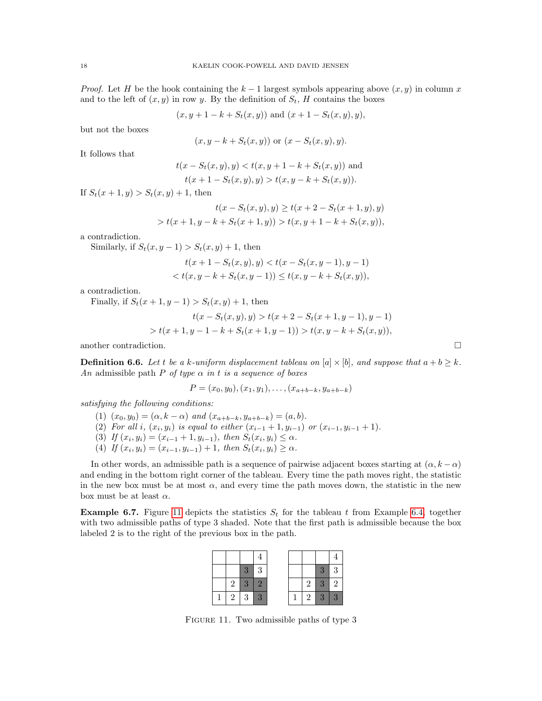*Proof.* Let H be the hook containing the  $k - 1$  largest symbols appearing above  $(x, y)$  in column x and to the left of  $(x, y)$  in row y. By the definition of  $S_t$ , H contains the boxes

$$
(x, y + 1 - k + S_t(x, y))
$$
 and  $(x + 1 - S_t(x, y), y)$ ,

but not the boxes

$$
(x, y - k + S_t(x, y))
$$
 or  $(x - S_t(x, y), y)$ .

It follows that

$$
t(x - S_t(x, y), y) < t(x, y + 1 - k + S_t(x, y))
$$
 and  

$$
t(x + 1 - S_t(x, y), y) > t(x, y - k + S_t(x, y)).
$$

If  $S_t(x + 1, y) > S_t(x, y) + 1$ , then

$$
t(x - S_t(x, y), y) \ge t(x + 2 - S_t(x + 1, y), y)
$$
  
>  $t(x + 1, y - k + S_t(x + 1, y)) > t(x, y + 1 - k + S_t(x, y)),$ 

a contradiction.

Similarly, if  $S_t(x, y-1) > S_t(x, y) + 1$ , then

$$
t(x+1-S_t(x,y),y) < t(x-S_t(x,y-1),y-1)
$$
  

$$
< t(x,y-k+S_t(x,y-1)) \le t(x,y-k+S_t(x,y)),
$$

a contradiction.

Finally, if  $S_t(x + 1, y - 1) > S_t(x, y) + 1$ , then

$$
t(x - S_t(x, y), y) > t(x + 2 - S_t(x + 1, y - 1), y - 1)
$$
  
> 
$$
t(x + 1, y - 1 - k + S_t(x + 1, y - 1)) > t(x, y - k + S_t(x, y)),
$$

another contradiction.  $\Box$ 

**Definition 6.6.** Let t be a k-uniform displacement tableau on  $[a] \times [b]$ , and suppose that  $a + b \geq k$ . An admissible path P of type  $\alpha$  in t is a sequence of boxes

$$
P = (x_0, y_0), (x_1, y_1), \dots, (x_{a+b-k}, y_{a+b-k})
$$

satisfying the following conditions:

- (1)  $(x_0, y_0) = (\alpha, k \alpha)$  and  $(x_{a+b-k}, y_{a+b-k}) = (a, b)$ .
- (2) For all i,  $(x_i, y_i)$  is equal to either  $(x_{i-1} + 1, y_{i-1})$  or  $(x_{i-1}, y_{i-1} + 1)$ .
- (3) If  $(x_i, y_i) = (x_{i-1} + 1, y_{i-1}),$  then  $S_t(x_i, y_i) \leq \alpha$ .
- (4) If  $(x_i, y_i) = (x_{i-1}, y_{i-1}) + 1$ , then  $S_t(x_i, y_i) \ge \alpha$ .

In other words, an admissible path is a sequence of pairwise adjacent boxes starting at  $(\alpha, k - \alpha)$ and ending in the bottom right corner of the tableau. Every time the path moves right, the statistic in the new box must be at most  $\alpha$ , and every time the path moves down, the statistic in the new box must be at least  $\alpha$ .

<span id="page-17-1"></span>**Example 6.7.** Figure [11](#page-17-0) depicts the statistics  $S_t$  for the tableau t from Example [6.4,](#page-16-4) together with two admissible paths of type 3 shaded. Note that the first path is admissible because the box labeled 2 is to the right of the previous box in the path.

|   | 3               | 3 |  |                | $3-$            | -3             |
|---|-----------------|---|--|----------------|-----------------|----------------|
| 2 | $3 \mid 2$      |   |  | 2 <sup>1</sup> | 3 2             |                |
|   | $2 \mid 3 \mid$ | 3 |  |                | $2 \mid 3 \mid$ | $\overline{3}$ |

<span id="page-17-0"></span>FIGURE 11. Two admissible paths of type 3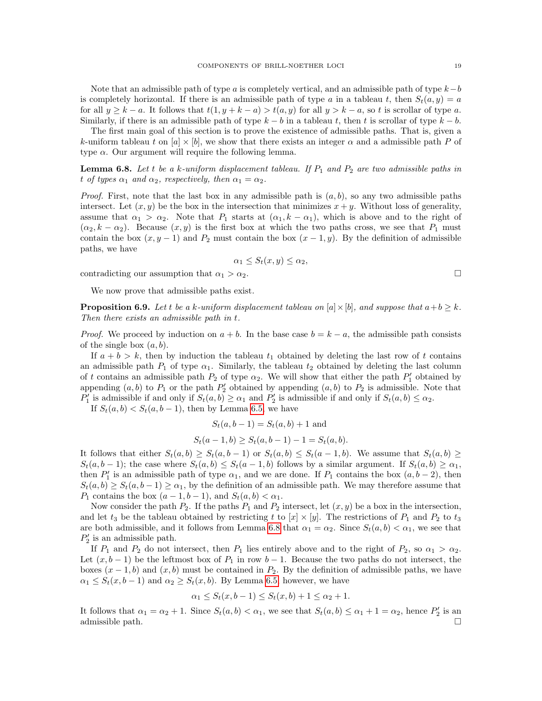Note that an admissible path of type a is completely vertical, and an admissible path of type  $k-b$ is completely horizontal. If there is an admissible path of type a in a tableau t, then  $S_t(a, y) = a$ for all  $y \ge k - a$ . It follows that  $t(1, y + k - a) > t(a, y)$  for all  $y > k - a$ , so t is scrollar of type a. Similarly, if there is an admissible path of type  $k - b$  in a tableau t, then t is scrollar of type  $k - b$ .

The first main goal of this section is to prove the existence of admissible paths. That is, given a k-uniform tableau t on  $[a] \times [b]$ , we show that there exists an integer  $\alpha$  and a admissible path P of type  $\alpha$ . Our argument will require the following lemma.

<span id="page-18-0"></span>**Lemma 6.8.** Let t be a k-uniform displacement tableau. If  $P_1$  and  $P_2$  are two admissible paths in t of types  $\alpha_1$  and  $\alpha_2$ , respectively, then  $\alpha_1 = \alpha_2$ .

*Proof.* First, note that the last box in any admissible path is  $(a, b)$ , so any two admissible paths intersect. Let  $(x, y)$  be the box in the intersection that minimizes  $x + y$ . Without loss of generality, assume that  $\alpha_1 > \alpha_2$ . Note that  $P_1$  starts at  $(\alpha_1, k - \alpha_1)$ , which is above and to the right of  $(\alpha_2, k - \alpha_2)$ . Because  $(x, y)$  is the first box at which the two paths cross, we see that  $P_1$  must contain the box  $(x, y - 1)$  and  $P_2$  must contain the box  $(x - 1, y)$ . By the definition of admissible paths, we have

$$
\alpha_1 \le S_t(x, y) \le \alpha_2,
$$

contradicting our assumption that  $\alpha_1 > \alpha_2$ .

We now prove that admissible paths exist.

<span id="page-18-1"></span>**Proposition 6.9.** Let t be a k-uniform displacement tableau on  $[a] \times [b]$ , and suppose that  $a+b \geq k$ . Then there exists an admissible path in t.

*Proof.* We proceed by induction on  $a + b$ . In the base case  $b = k - a$ , the admissible path consists of the single box  $(a, b)$ .

If  $a + b > k$ , then by induction the tableau  $t_1$  obtained by deleting the last row of t contains an admissible path  $P_1$  of type  $\alpha_1$ . Similarly, the tableau  $t_2$  obtained by deleting the last column of t contains an admissible path  $P_2$  of type  $\alpha_2$ . We will show that either the path  $P'_1$  obtained by appending  $(a, b)$  to  $P_1$  or the path  $P'_2$  obtained by appending  $(a, b)$  to  $P_2$  is admissible. Note that  $P'_1$  is admissible if and only if  $S_t(a, b) \ge \alpha_1$  and  $P'_2$  is admissible if and only if  $S_t(a, b) \le \alpha_2$ .

If  $S_t(a, b) < S_t(a, b - 1)$ , then by Lemma [6.5,](#page-16-5) we have

$$
S_t(a, b-1) = S_t(a, b) + 1
$$
 and

$$
S_t(a-1,b) \ge S_t(a,b-1) - 1 = S_t(a,b).
$$

It follows that either  $S_t(a, b) \geq S_t(a, b - 1)$  or  $S_t(a, b) \leq S_t(a - 1, b)$ . We assume that  $S_t(a, b) \geq$  $S_t(a, b-1)$ ; the case where  $S_t(a, b) \leq S_t(a-1, b)$  follows by a similar argument. If  $S_t(a, b) \geq \alpha_1$ , then  $P'_1$  is an admissible path of type  $\alpha_1$ , and we are done. If  $P_1$  contains the box  $(a, b - 2)$ , then  $S_t(a, b) \geq S_t(a, b-1) \geq \alpha_1$ , by the definition of an admissible path. We may therefore assume that  $P_1$  contains the box  $(a-1,b-1)$ , and  $S_t(a,b) < \alpha_1$ .

Now consider the path  $P_2$ . If the paths  $P_1$  and  $P_2$  intersect, let  $(x, y)$  be a box in the intersection, and let  $t_3$  be the tableau obtained by restricting t to  $[x] \times [y]$ . The restrictions of  $P_1$  and  $P_2$  to  $t_3$ are both admissible, and it follows from Lemma [6.8](#page-18-0) that  $\alpha_1 = \alpha_2$ . Since  $S_t(a, b) < \alpha_1$ , we see that  $P'_2$  is an admissible path.

If  $P_1$  and  $P_2$  do not intersect, then  $P_1$  lies entirely above and to the right of  $P_2$ , so  $\alpha_1 > \alpha_2$ . Let  $(x, b - 1)$  be the leftmost box of  $P_1$  in row  $b - 1$ . Because the two paths do not intersect, the boxes  $(x - 1, b)$  and  $(x, b)$  must be contained in  $P_2$ . By the definition of admissible paths, we have  $\alpha_1 \leq S_t(x, b-1)$  and  $\alpha_2 \geq S_t(x, b)$ . By Lemma [6.5,](#page-16-5) however, we have

$$
\alpha_1 \le S_t(x, b - 1) \le S_t(x, b) + 1 \le \alpha_2 + 1.
$$

It follows that  $\alpha_1 = \alpha_2 + 1$ . Since  $S_t(a, b) < \alpha_1$ , we see that  $S_t(a, b) \leq \alpha_1 + 1 = \alpha_2$ , hence  $P'_2$  is an admissible path.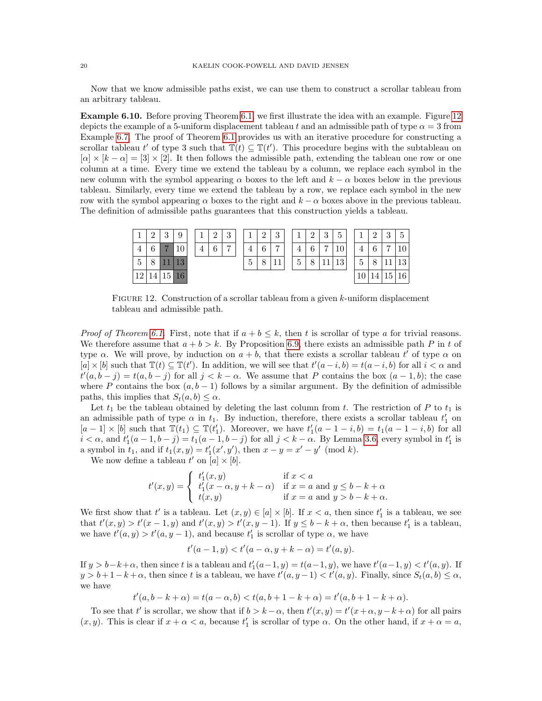Now that we know admissible paths exist, we can use them to construct a scrollar tableau from an arbitrary tableau.

Example 6.10. Before proving Theorem [6.1,](#page-16-2) we first illustrate the idea with an example. Figure [12](#page-19-0) depicts the example of a 5-uniform displacement tableau t and an admissible path of type  $\alpha = 3$  from Example [6.7.](#page-17-1) The proof of Theorem [6.1](#page-16-2) provides us with an iterative procedure for constructing a scrollar tableau t' of type 3 such that  $\mathbb{T}(t) \subseteq \mathbb{T}(t')$ . This procedure begins with the subtableau on  $|\alpha| \times |k - \alpha| = |3| \times |2|$ . It then follows the admissible path, extending the tableau one row or one column at a time. Every time we extend the tableau by a column, we replace each symbol in the new column with the symbol appearing  $\alpha$  boxes to the left and  $k - \alpha$  boxes below in the previous tableau. Similarly, every time we extend the tableau by a row, we replace each symbol in the new row with the symbol appearing  $\alpha$  boxes to the right and  $k - \alpha$  boxes above in the previous tableau. The definition of admissible paths guarantees that this construction yields a tableau.

| ⊥              | $\Omega$<br>↵ | $\Omega$<br>IJ | 9        |  | $\Omega$   | $\Omega$<br>IJ |                | $\Omega$ | $\Omega$<br>IJ |                            | $\Omega$ | $\mathbf{Q}$<br>IJ | 5         |        | $\Omega$ | $\Omega$<br>IJ | 5              |
|----------------|---------------|----------------|----------|--|------------|----------------|----------------|----------|----------------|----------------------------|----------|--------------------|-----------|--------|----------|----------------|----------------|
| $\overline{4}$ | ↷             | $\overline{ }$ |          |  | $\epsilon$ | $\overline{ }$ |                |          | $\overline{ }$ |                            |          | $\overline{ }$     |           |        | c<br>0   | $\overline{ }$ | 1 <sub>0</sub> |
| 5              | G             | - -            | 19<br>ΤĐ |  |            |                | $\overline{5}$ |          | $\mathbf{H}$   | $\tilde{\phantom{a}}$<br>↩ |          | -1                 | 1 ດ<br>⊥∪ | ۔<br>Ð |          |                | 13             |
| 12             | 14            |                | 15 16    |  |            |                |                |          |                |                            |          |                    |           | 10     | $14_1$   | 15             | 16             |

<span id="page-19-0"></span>FIGURE 12. Construction of a scrollar tableau from a given k-uniform displacement tableau and admissible path.

*Proof of Theorem [6.1.](#page-16-2)* First, note that if  $a + b \leq k$ , then t is scrollar of type a for trivial reasons. We therefore assume that  $a + b > k$ . By Proposition [6.9,](#page-18-1) there exists an admissible path P in t of type  $\alpha$ . We will prove, by induction on  $a + b$ , that there exists a scrollar tableau t' of type  $\alpha$  on  $[a] \times [b]$  such that  $\mathbb{T}(t) \subseteq \mathbb{T}(t')$ . In addition, we will see that  $t'(a-i,b) = t(a-i,b)$  for all  $i < \alpha$  and  $t'(a, b - j) = t(a, b - j)$  for all  $j < k - \alpha$ . We assume that P contains the box  $(a - 1, b)$ ; the case where P contains the box  $(a, b - 1)$  follows by a similar argument. By the definition of admissible paths, this implies that  $S_t(a, b) \leq \alpha$ .

Let  $t_1$  be the tableau obtained by deleting the last column from t. The restriction of P to  $t_1$  is an admissible path of type  $\alpha$  in  $t_1$ . By induction, therefore, there exists a scrollar tableau  $t_1'$  on  $[a-1] \times [b]$  such that  $\mathbb{T}(t_1) \subseteq \mathbb{T}(t'_1)$ . Moreover, we have  $t'_1(a-1-i,b) = t_1(a-1-i,b)$  for all  $i < \alpha$ , and  $t'_1(a-1,b-j) = t_1(a-1,b-j)$  for all  $j < k - \alpha$ . By Lemma [3.6,](#page-8-1) every symbol in  $t'_1$  is a symbol in  $t_1$ , and if  $t_1(x, y) = t'_1(x', y')$ , then  $x - y = x' - y' \pmod{k}$ .

We now define a tableau  $t'$  on  $[a] \times [b]$ .

$$
t'(x,y) = \begin{cases} t'_1(x,y) & \text{if } x < a \\ t'_1(x-\alpha,y+k-\alpha) & \text{if } x = a \text{ and } y \leq b-k+\alpha \\ t(x,y) & \text{if } x = a \text{ and } y > b-k+\alpha. \end{cases}
$$

We first show that t' is a tableau. Let  $(x, y) \in [a] \times [b]$ . If  $x < a$ , then since  $t_1'$  is a tableau, we see that  $t'(x, y) > t'(x - 1, y)$  and  $t'(x, y) > t'(x, y - 1)$ . If  $y \le b - k + \alpha$ , then because  $t'_1$  is a tableau, we have  $t'(a, y) > t'(a, y - 1)$ , and because  $t'_1$  is scrollar of type  $\alpha$ , we have

$$
t'(a-1, y) < t'(a-\alpha, y+k-\alpha) = t'(a, y).
$$

If  $y > b-k+\alpha$ , then since t is a tableau and  $t'_{1}(a-1, y) = t(a-1, y)$ , we have  $t'(a-1, y) < t'(a, y)$ . If  $y > b + 1 - k + \alpha$ , then since t is a tableau, we have  $t'(a, y - 1) < t'(a, y)$ . Finally, since  $S_t(a, b) \leq \alpha$ , we have

 $t'(a, b - k + \alpha) = t(a - \alpha, b) < t(a, b + 1 - k + \alpha) = t'(a, b + 1 - k + \alpha).$ 

To see that t' is scrollar, we show that if  $b > k - \alpha$ , then  $t'(x, y) = t'(x + \alpha, y - k + \alpha)$  for all pairs  $(x, y)$ . This is clear if  $x + \alpha < a$ , because  $t'_1$  is scrollar of type  $\alpha$ . On the other hand, if  $x + \alpha = a$ ,